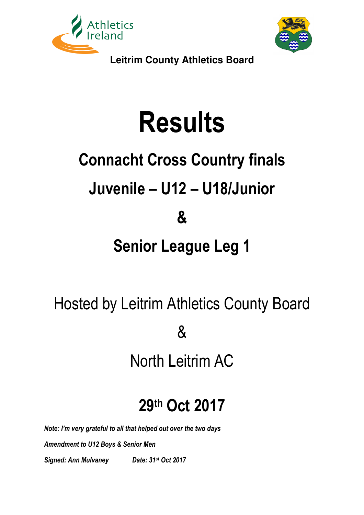



# **Results**

## **Connacht Cross Country finals Juvenile – U12 – U18/Junior**

**&** 

## **Senior League Leg 1**

Hosted by Leitrim Athletics County Board

&

North Leitrim AC

## **29th Oct 2017**

*Note: I'm very grateful to all that helped out over the two days* 

*Amendment to U12 Boys & Senior Men* 

*Signed: Ann Mulvaney Date: 31st Oct 2017*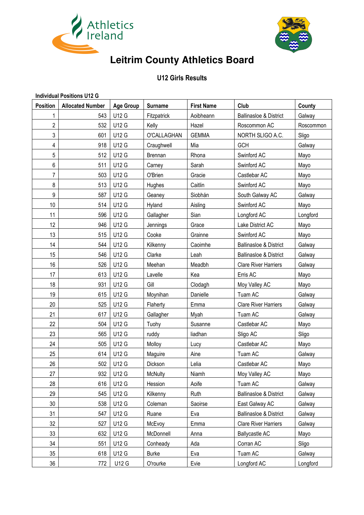



#### **U12 Girls Results**

| <b>Individual Positions U12 G</b> |                  |                |                   |                                   |           |  |  |  |  |  |
|-----------------------------------|------------------|----------------|-------------------|-----------------------------------|-----------|--|--|--|--|--|
| <b>Allocated Number</b>           | <b>Age Group</b> | <b>Surname</b> | <b>First Name</b> | Club                              | County    |  |  |  |  |  |
| 543                               | <b>U12 G</b>     | Fitzpatrick    | Aoibheann         | <b>Ballinasloe &amp; District</b> | Galway    |  |  |  |  |  |
| 532                               | U12 G            | Kelly          | Hazel             | Roscommon AC                      | Roscommon |  |  |  |  |  |
| 601                               | <b>U12 G</b>     | O'CALLAGHAN    | <b>GEMMA</b>      | NORTH SLIGO A.C.                  | Sligo     |  |  |  |  |  |
| 918                               | <b>U12 G</b>     | Craughwell     | Mia               | <b>GCH</b>                        | Galway    |  |  |  |  |  |
| 512                               | <b>U12 G</b>     | Brennan        | Rhona             | Swinford AC                       | Mayo      |  |  |  |  |  |
| 511                               | <b>U12 G</b>     | Carney         | Sarah             | Swinford AC                       | Mayo      |  |  |  |  |  |
| 503                               | <b>U12 G</b>     | O'Brien        | Gracie            | Castlebar AC                      | Mayo      |  |  |  |  |  |
| 513                               | <b>U12 G</b>     | Hughes         | Caitlin           | Swinford AC                       | Mayo      |  |  |  |  |  |
| 587                               | <b>U12 G</b>     | Geaney         | Siobhán           | South Galway AC                   | Galway    |  |  |  |  |  |
| 514                               | <b>U12 G</b>     | Hyland         | Aisling           | Swinford AC                       | Mayo      |  |  |  |  |  |
| 596                               | <b>U12 G</b>     | Gallagher      | Sian              | Longford AC                       | Longford  |  |  |  |  |  |
| 946                               | <b>U12 G</b>     | Jennings       | Grace             | Lake District AC                  | Mayo      |  |  |  |  |  |
| 515                               | <b>U12 G</b>     | Cooke          | Grainne           | Swinford AC                       | Mayo      |  |  |  |  |  |
| 544                               | U12 G            | Kilkenny       | Caoimhe           | <b>Ballinasloe &amp; District</b> | Galway    |  |  |  |  |  |
| 546                               | <b>U12 G</b>     | Clarke         | Leah              | <b>Ballinasloe &amp; District</b> | Galway    |  |  |  |  |  |
| 526                               | <b>U12 G</b>     | Meehan         | Meadbh            | <b>Clare River Harriers</b>       | Galway    |  |  |  |  |  |
| 613                               | <b>U12 G</b>     | Lavelle        | Kea               | Erris AC                          | Mayo      |  |  |  |  |  |
| 931                               | <b>U12 G</b>     | Gill           | Clodagh           | Moy Valley AC                     | Mayo      |  |  |  |  |  |
| 615                               | <b>U12 G</b>     | Moynihan       | Danielle          | Tuam AC                           | Galway    |  |  |  |  |  |
| 525                               | <b>U12 G</b>     | Flaherty       | Emma              | <b>Clare River Harriers</b>       | Galway    |  |  |  |  |  |
| 617                               | U12 G            | Gallagher      | Myah              | Tuam AC                           | Galway    |  |  |  |  |  |
| 504                               | U12 G            | Tuohy          | Susanne           | Castlebar AC                      | Mayo      |  |  |  |  |  |
| 565                               | <b>U12 G</b>     | ruddy          | liadhan           | Sligo AC                          | Sligo     |  |  |  |  |  |
| 505                               | <b>U12 G</b>     | Molloy         | Lucy              | Castlebar AC                      | Mayo      |  |  |  |  |  |
| 614                               | <b>U12 G</b>     | Maguire        | Aine              | Tuam AC                           | Galway    |  |  |  |  |  |
| 502                               | <b>U12 G</b>     | Dickson        | Lelia             | Castlebar AC                      | Mayo      |  |  |  |  |  |
| 932                               | U12 G            | <b>McNulty</b> | Niamh             | Moy Valley AC                     | Mayo      |  |  |  |  |  |
| 616                               | U12 G            | Hession        | Aoife             | Tuam AC                           | Galway    |  |  |  |  |  |
| 545                               | U12 G            | Kilkenny       | Ruth              | <b>Ballinasloe &amp; District</b> | Galway    |  |  |  |  |  |
| 538                               | U12 G            | Coleman        | Saoirse           | East Galway AC                    | Galway    |  |  |  |  |  |
| 547                               | <b>U12 G</b>     | Ruane          | Eva               | <b>Ballinasloe &amp; District</b> | Galway    |  |  |  |  |  |
| 527                               | U12 G            | McEvoy         | Emma              | <b>Clare River Harriers</b>       | Galway    |  |  |  |  |  |
| 632                               | U12 G            | McDonnell      | Anna              | <b>Ballycastle AC</b>             | Mayo      |  |  |  |  |  |
| 551                               | U12 G            | Conheady       | Ada               | Corran AC                         | Sligo     |  |  |  |  |  |
| 618                               | U12 G            | <b>Burke</b>   | Eva               | Tuam AC                           | Galway    |  |  |  |  |  |
| 772                               | U12 G            | O'rourke       | Evie              | Longford AC                       | Longford  |  |  |  |  |  |
|                                   |                  |                |                   |                                   |           |  |  |  |  |  |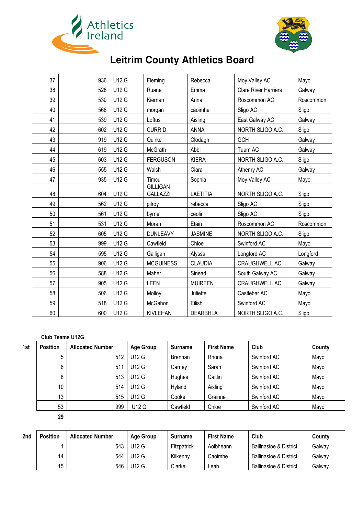



| 37 | 936 | <b>U12 G</b> | Fleming                            | Rebecca         | Moy Valley AC               | Mayo      |
|----|-----|--------------|------------------------------------|-----------------|-----------------------------|-----------|
| 38 | 528 | <b>U12 G</b> | Ruane                              | Emma            | <b>Clare River Harriers</b> | Galway    |
| 39 | 530 | <b>U12 G</b> | Kiernan                            | Anna            | Roscommon AC                | Roscommon |
| 40 | 566 | <b>U12 G</b> | morgan                             | caoimhe         | Sligo AC                    | Sligo     |
| 41 | 539 | <b>U12 G</b> | Loftus                             | Aisling         | East Galway AC              | Galway    |
| 42 | 602 | U12 G        | <b>CURRID</b>                      | <b>ANNA</b>     | NORTH SLIGO A.C.            | Sligo     |
| 43 | 919 | <b>U12 G</b> | Quirke                             | Clodagh         | GCH                         | Galway    |
| 44 | 619 | <b>U12 G</b> | McGrath                            | Abbi            | Tuam AC                     | Galway    |
| 45 | 603 | <b>U12 G</b> | <b>FERGUSON</b>                    | <b>KIERA</b>    | NORTH SLIGO A.C.            | Sligo     |
| 46 | 555 | <b>U12 G</b> | Walsh                              | Ciara           | Athenry AC                  | Galway    |
| 47 | 935 | <b>U12 G</b> | Timcu                              | Sophia          | Moy Valley AC               | Mayo      |
| 48 | 604 | <b>U12 G</b> | <b>GILLIGAN</b><br><b>GALLAZZI</b> | <b>LAETITIA</b> | NORTH SLIGO A.C.            | Sligo     |
| 49 | 562 | <b>U12 G</b> | gilroy                             | rebecca         | Sligo AC                    | Sligo     |
| 50 | 561 | <b>U12 G</b> | byrne                              | ceolin          | Sligo AC                    | Sligo     |
| 51 | 531 | <b>U12 G</b> | Moran                              | Etain           | Roscommon AC                | Roscommon |
| 52 | 605 | <b>U12 G</b> | <b>DUNLEAVY</b>                    | <b>JASMINE</b>  | NORTH SLIGO A.C.            | Sligo     |
| 53 | 999 | <b>U12 G</b> | Cawfield                           | Chloe           | Swinford AC                 | Mayo      |
| 54 | 595 | <b>U12 G</b> | Galligan                           | Alyssa          | Longford AC                 | Longford  |
| 55 | 906 | <b>U12 G</b> | <b>MCGUINESS</b>                   | <b>CLAUDIA</b>  | CRAUGHWELL AC               | Galway    |
| 56 | 588 | <b>U12 G</b> | Maher                              | Sinead          | South Galway AC             | Galway    |
| 57 | 905 | <b>U12 G</b> | <b>LEEN</b>                        | <b>MUIREEN</b>  | CRAUGHWELL AC               | Galway    |
| 58 | 506 | <b>U12 G</b> | Molloy                             | Juliette        | Castlebar AC                | Mayo      |
| 59 | 518 | <b>U12 G</b> | McGahon                            | Eilish          | Swinford AC                 | Mayo      |
| 60 | 600 | <b>U12 G</b> | <b>KIVLEHAN</b>                    | <b>DEARBHLA</b> | NORTH SLIGO A.C.            | Sligo     |

#### **Club Teams U12G**

| 1st | <b>Position</b> | <b>Allocated Number</b> | <b>Age Group</b> | <b>Surname</b> | <b>First Name</b> | Club        | County |
|-----|-----------------|-------------------------|------------------|----------------|-------------------|-------------|--------|
|     | 5               | 512                     | U12 G            | <b>Brennan</b> | Rhona             | Swinford AC | Mayo   |
|     | 6               | 511                     | U12 G            | Carney         | Sarah             | Swinford AC | Mayo   |
|     | 8               | 513                     | <b>U12 G</b>     | Hughes         | Caitlin           | Swinford AC | Mayo   |
|     | 10 <sup>°</sup> | 514                     | U12 G            | Hyland         | Aisling           | Swinford AC | Mayo   |
|     | 13              | 515                     | <b>U12 G</b>     | Cooke          | Grainne           | Swinford AC | Mayo   |
|     | 53              | 999                     | U12 G            | Cawfield       | Chloe             | Swinford AC | Mayo   |

| 2nd | <b>Position</b> | <b>Allocated Number</b> | Age Group | <b>Surname</b>     | <b>First Name</b> | Club                              | County |
|-----|-----------------|-------------------------|-----------|--------------------|-------------------|-----------------------------------|--------|
|     |                 | 543                     | U12 G     | <b>Fitzpatrick</b> | Aoibheann         | <b>Ballinasloe &amp; District</b> | Galway |
|     | 14              | 544                     | U12 G     | Kilkenny           | Caoimhe           | <b>Ballinasloe &amp; District</b> | Galwav |
|     | 15              | 546                     | U12 G     | Clarke             | ∟eah              | <b>Ballinasloe &amp; District</b> | Galway |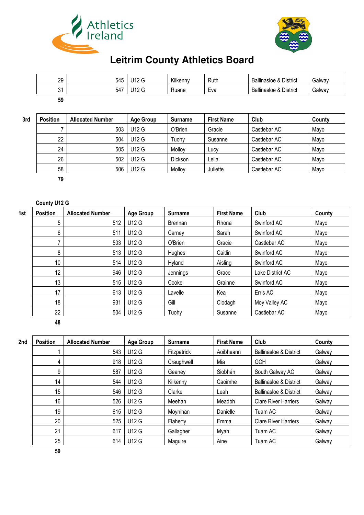



| 29                | 545 | J12 G | Kilkenny | Ruth | <b>Ballinasloe &amp; District</b> | Galway |
|-------------------|-----|-------|----------|------|-----------------------------------|--------|
| $\mathbf{A}$<br>ັ | 547 |       | Ruane    | Eva  | <b>Ballinasloe &amp; District</b> | Galway |
| 59                |     |       |          |      |                                   |        |

| 3rd | <b>Position</b> | <b>Allocated Number</b> | Age Group | <b>Surname</b> | <b>First Name</b> | Club         | County |
|-----|-----------------|-------------------------|-----------|----------------|-------------------|--------------|--------|
|     |                 | 503                     | U12 G     | O'Brien        | Gracie            | Castlebar AC | Mayo   |
|     | 22              | 504                     | U12 G     | Tuohy          | Susanne           | Castlebar AC | Mavo   |
|     | 24              | 505                     | U12 G     | Molloy         | Lucy              | Castlebar AC | Mavo   |
|     | 26              | 502                     | U12 G     | Dickson        | Lelia             | Castlebar AC | Mayo   |
|     | 58              | 506                     | U12 G     | Molloy         | Juliette          | Castlebar AC | Mavo   |

#### **County U12 G**

| 1st | <b>Position</b> | <b>Allocated Number</b> | <b>Age Group</b> | <b>Surname</b> | <b>First Name</b> | Club             | County |
|-----|-----------------|-------------------------|------------------|----------------|-------------------|------------------|--------|
|     | 5               | 512                     | U12 G            | <b>Brennan</b> | Rhona             | Swinford AC      | Mayo   |
|     | 6               | 511                     | U12 G            | Carney         | Sarah             | Swinford AC      | Mayo   |
|     | ⇁               | 503                     | U12 G            | O'Brien        | Gracie            | Castlebar AC     | Mayo   |
|     | 8               | 513                     | U12 G            | Hughes         | Caitlin           | Swinford AC      | Mayo   |
|     | 10              | 514                     | U12 G            | Hyland         | Aisling           | Swinford AC      | Mayo   |
|     | 12              | 946                     | U12 G            | Jennings       | Grace             | Lake District AC | Mayo   |
|     | 13              | 515                     | U12 G            | Cooke          | Grainne           | Swinford AC      | Mayo   |
|     | 17              | 613                     | U12 G            | Lavelle        | Kea               | Erris AC         | Mayo   |
|     | 18              | 931                     | U12 G            | Gill           | Clodagh           | Moy Valley AC    | Mayo   |
|     | 22              | 504                     | U12 G            | Tuohy          | Susanne           | Castlebar AC     | Mayo   |

| 2nd | <b>Position</b> | <b>Allocated Number</b> | <b>Age Group</b> | <b>Surname</b> | <b>First Name</b> | Club                              | County |
|-----|-----------------|-------------------------|------------------|----------------|-------------------|-----------------------------------|--------|
|     |                 | 543                     | <b>U12 G</b>     | Fitzpatrick    | Aoibheann         | <b>Ballinasloe &amp; District</b> | Galway |
|     | 4               | 918                     | U12 G            | Craughwell     | Mia               | <b>GCH</b>                        | Galway |
|     | 9               | 587                     | U12 G            | Geanev         | Siobhán           | South Galway AC                   | Galway |
|     | 14              | 544                     | U12 G            | Kilkenny       | Caoimhe           | <b>Ballinasloe &amp; District</b> | Galway |
|     | 15              | 546                     | <b>U12 G</b>     | Clarke         | Leah              | <b>Ballinasloe &amp; District</b> | Galway |
|     | 16              | 526                     | <b>U12 G</b>     | Meehan         | Meadbh            | <b>Clare River Harriers</b>       | Galway |
|     | 19              | 615                     | <b>U12 G</b>     | Moynihan       | Danielle          | Tuam AC                           | Galway |
|     | 20              | 525                     | <b>U12 G</b>     | Flaherty       | Emma              | <b>Clare River Harriers</b>       | Galway |
|     | 21              | 617                     | <b>U12 G</b>     | Gallagher      | Myah              | Tuam AC                           | Galway |
|     | 25              | 614                     | <b>U12 G</b>     | Maguire        | Aine              | Tuam AC                           | Galway |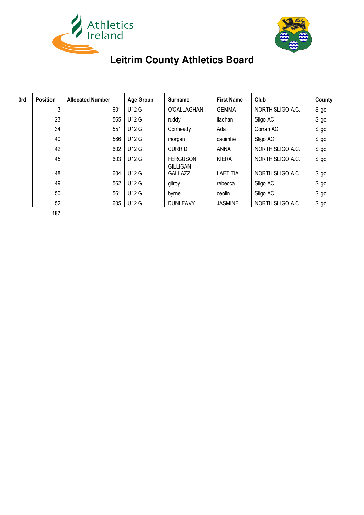



| 3rd | <b>Position</b> | <b>Allocated Number</b> | <b>Age Group</b>  | <b>Surname</b>                     | <b>First Name</b> | Club             | County |
|-----|-----------------|-------------------------|-------------------|------------------------------------|-------------------|------------------|--------|
|     | 3               | 601                     | U12 G             | O'CALLAGHAN                        | <b>GEMMA</b>      | NORTH SLIGO A.C. | Sligo  |
|     | 23              | 565                     | <b>U12 G</b>      | ruddy                              | liadhan           | Sligo AC         | Sligo  |
|     | 34              | 551                     | <b>U12 G</b>      | Conheady                           | Ada               | Corran AC        | Sligo  |
|     | 40              | 566                     | <b>U12 G</b>      | morgan                             | caoimhe           | Sligo AC         | Sligo  |
|     | 42              | 602                     | <b>U12 G</b>      | <b>CURRID</b>                      | <b>ANNA</b>       | NORTH SLIGO A.C. | Sligo  |
|     | 45              | 603                     | <b>U12 G</b>      | <b>FERGUSON</b>                    | <b>KIERA</b>      | NORTH SLIGO A.C. | Sligo  |
|     | 48              | 604                     | <b>U12 G</b>      | <b>GILLIGAN</b><br><b>GALLAZZI</b> | <b>LAETITIA</b>   | NORTH SLIGO A.C. | Sligo  |
|     | 49              | 562                     | U12 G             | gilroy                             | rebecca           | Sligo AC         | Sligo  |
|     | 50              | 561                     | U12 G             | byrne                              | ceolin            | Sligo AC         | Sligo  |
|     | 52              | 605                     | U <sub>12</sub> G | <b>DUNLEAVY</b>                    | <b>JASMINE</b>    | NORTH SLIGO A.C. | Sligo  |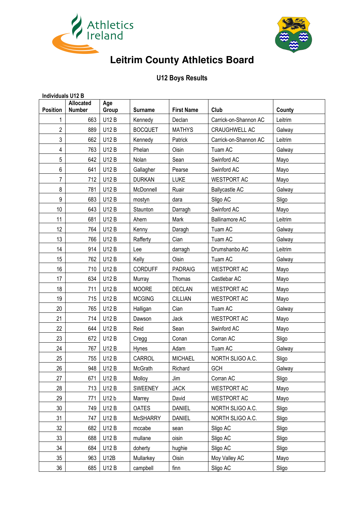



### **U12 Boys Results**

| <b>Individuals U12 B</b> |                            |                                                                       |                 |                        |                       |         |
|--------------------------|----------------------------|-----------------------------------------------------------------------|-----------------|------------------------|-----------------------|---------|
| Position                 | Allocated<br><b>Number</b> | Age<br>Group                                                          | <b>Surname</b>  | <b>First Name</b>      | Club                  | County  |
| 1                        | 663                        | U12 B                                                                 | Kennedy         | Declan                 | Carrick-on-Shannon AC | Leitrim |
| $\overline{2}$           | 889                        | U12 B                                                                 | <b>BOCQUET</b>  | <b>MATHYS</b>          | CRAUGHWELL AC         | Galway  |
| 3                        | 662                        | U12 B<br>Kennedy                                                      |                 | Patrick                | Carrick-on-Shannon AC | Leitrim |
| $\overline{4}$           | 763                        | U12 B                                                                 | Phelan          | Oisin                  | Tuam AC               | Galway  |
| 5                        | 642                        | U12 B                                                                 | Nolan           | Sean                   | Swinford AC           | Mayo    |
| $6\phantom{a}$           | 641                        | U12 B                                                                 | Gallagher       | Pearse                 | Swinford AC           | Mayo    |
| $\overline{7}$           | 712                        | U12 B                                                                 | <b>DURKAN</b>   | <b>LUKE</b>            | <b>WESTPORT AC</b>    | Mayo    |
| 8                        | 781                        | U12 B                                                                 | McDonnell       | Ruair                  | <b>Ballycastle AC</b> | Galway  |
| 9                        | 683                        | U12 B                                                                 | mostyn          | dara                   | Sligo AC              | Sligo   |
| 10                       | 643                        | U12 B                                                                 | Staunton        | Darragh                | Swinford AC           | Mayo    |
| 11                       | 681                        | U12 B                                                                 | Ahern           | Mark                   | <b>Ballinamore AC</b> | Leitrim |
| 12                       | 764                        | U12 B                                                                 | Kenny           | Daragh                 | Tuam AC               | Galway  |
| 13                       | 766                        | U12 B                                                                 | Rafferty        | Cian                   | Tuam AC               | Galway  |
| 14                       | 914                        | U12 B                                                                 | Lee             | darragh                | Drumshanbo AC         | Leitrim |
| 15                       | 762                        | U12 B<br>Oisin<br>Tuam AC<br>Kelly                                    |                 | Galway                 |                       |         |
| 16                       | 710                        | <b>U12B</b><br><b>CORDUFF</b><br><b>PADRAIG</b><br><b>WESTPORT AC</b> |                 | Mayo                   |                       |         |
| 17                       | 634                        | U12 B                                                                 | Murray          | Thomas<br>Castlebar AC |                       | Mayo    |
| 18                       | 711                        | U12 B                                                                 | <b>MOORE</b>    | <b>DECLAN</b>          | <b>WESTPORT AC</b>    | Mayo    |
| 19                       | 715                        | U12 B                                                                 | <b>MCGING</b>   | <b>CILLIAN</b>         | <b>WESTPORT AC</b>    | Mayo    |
| 20                       | 765                        | U12 B                                                                 | Halligan        | Cian                   | Tuam AC               | Galway  |
| 21                       | 714                        | U12 B                                                                 | Dawson          | Jack                   | <b>WESTPORT AC</b>    | Mayo    |
| 22                       | 644                        | U12 B                                                                 | Reid            | Sean                   | Swinford AC           | Mayo    |
| 23                       | 672                        | U12 B                                                                 | Cregg           | Conan                  | Corran AC             | Sligo   |
| 24                       | 767                        | U12 B                                                                 | Hynes           | Adam                   | Tuam AC               | Galway  |
| 25                       | 755                        | U12 B                                                                 | CARROL          | <b>MICHAEL</b>         | NORTH SLIGO A.C.      | Sligo   |
| 26                       |                            | 948   U12 B                                                           | McGrath         | Richard                | <b>GCH</b>            | Galway  |
| 27                       | 671                        | U12 B                                                                 | Molloy          | Jim                    | Corran AC             | Sligo   |
| 28                       | 713                        | U12 B                                                                 | <b>SWEENEY</b>  | <b>JACK</b>            | <b>WESTPORT AC</b>    | Mayo    |
| 29                       | 771                        | U12 b                                                                 | Marrey          | David                  | WESTPORT AC           | Mayo    |
| 30                       | 749                        | U12 B                                                                 | <b>OATES</b>    | <b>DANIEL</b>          | NORTH SLIGO A.C.      | Sligo   |
| 31                       | 747                        | U12 B                                                                 | <b>McSHARRY</b> | <b>DANIEL</b>          | NORTH SLIGO A.C.      | Sligo   |
| 32                       | 682                        | U12 B                                                                 | mccabe          | sean                   | Sligo AC              | Sligo   |
| 33                       | 688                        | U12 B                                                                 | mullane         | oisin                  | Sligo AC              | Sligo   |
| 34                       | 684                        | U12 B                                                                 | doherty         | hughie                 | Sligo AC              | Sligo   |
| 35                       | 963                        | U12B                                                                  | Mullarkey       | Oisin                  | Moy Valley AC         | Mayo    |
| 36                       | 685                        | U12 B                                                                 | campbell        | finn                   | Sligo AC              | Sligo   |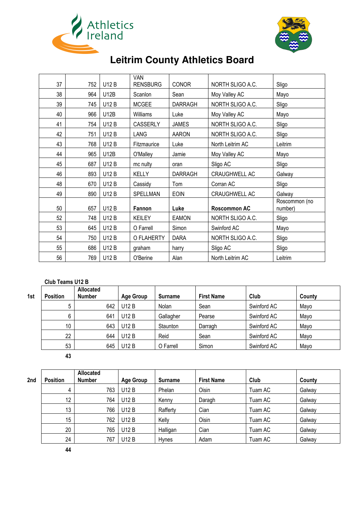



| 37 | 752 | <b>U12 B</b> | VAN<br><b>RENSBURG</b> | <b>CONOR</b>   | NORTH SLIGO A.C.     | Sligo                    |
|----|-----|--------------|------------------------|----------------|----------------------|--------------------------|
| 38 | 964 | <b>U12B</b>  | Scanlon                | Sean           | Moy Valley AC        | Mayo                     |
| 39 | 745 | U12 B        | <b>MCGEE</b>           | <b>DARRAGH</b> | NORTH SLIGO A.C.     | Sligo                    |
| 40 | 966 | <b>U12B</b>  | Williams               | Luke           | Moy Valley AC        | Mayo                     |
| 41 | 754 | U12 B        | CASSERLY               | <b>JAMES</b>   | NORTH SLIGO A.C.     | Sligo                    |
| 42 | 751 | U12 B        | <b>LANG</b>            | <b>AARON</b>   | NORTH SLIGO A.C.     | Sligo                    |
| 43 | 768 | U12 B        | Fitzmaurice            | Luke           | North Leitrim AC     | Leitrim                  |
| 44 | 965 | <b>U12B</b>  | O'Malley               | Jamie          | Moy Valley AC        | Mayo                     |
| 45 | 687 | U12 B        | mc nulty               | oran           | Sligo AC             | Sligo                    |
| 46 | 893 | U12 B        | KELLY                  | <b>DARRAGH</b> | CRAUGHWELL AC        | Galway                   |
| 48 | 670 | U12 B        | Cassidy                | Tom            | Corran AC            | Sligo                    |
| 49 | 890 | U12 B        | SPELLMAN               | <b>EOIN</b>    | <b>CRAUGHWELL AC</b> | Galway                   |
| 50 | 657 | U12 B        | Fannon                 | Luke           | Roscommon AC         | Roscommon (no<br>number) |
| 52 | 748 | U12 B        | KEILEY                 | <b>EAMON</b>   | NORTH SLIGO A.C.     | Sligo                    |
| 53 | 645 | U12 B        | O Farrell              | Simon          | Swinford AC          | Mayo                     |
| 54 | 750 | U12 B        | O FLAHERTY             | <b>DARA</b>    | NORTH SLIGO A.C.     | Sligo                    |
| 55 | 686 | U12 B        | graham                 | harry          | Sligo AC             | Sligo                    |
| 56 | 769 | U12 B        | O'Berine               | Alan           | North Leitrim AC     | Leitrim                  |

#### **Club Teams U12 B**

| <b>Position</b> | <b>Allocated</b><br><b>Number</b> | <b>Age Group</b> | <b>Surname</b> | <b>First Name</b> | Club        | County |
|-----------------|-----------------------------------|------------------|----------------|-------------------|-------------|--------|
| 5               | 642                               | U12 B            | Nolan          | Sean              | Swinford AC | Mayo   |
| 6               | 641                               | U12 B            | Gallagher      | Pearse            | Swinford AC | Mayo   |
| 10 <sup>°</sup> | 643                               | U12 B            | Staunton       | Darragh           | Swinford AC | Mayo   |
| 22              | 644                               | U12 B            | Reid           | Sean              | Swinford AC | Mayo   |
| 53              | 645                               | U12 B            | O Farrell      | Simon             | Swinford AC | Mayo   |

**1st Position**

| 2nd | <b>Position</b> | <b>Allocated</b><br><b>Number</b> | <b>Age Group</b> | Surname      | <b>First Name</b> | Club    | County |
|-----|-----------------|-----------------------------------|------------------|--------------|-------------------|---------|--------|
|     | 4               | 763                               | U12 B            | Phelan       | Oisin             | Tuam AC | Galway |
|     | 12              | 764                               | U12 B            | Kenny        | Daragh            | Tuam AC | Galway |
|     | 13              | 766                               | <b>U12B</b>      | Rafferty     | Cian              | Tuam AC | Galway |
|     | 15              | 762                               | <b>U12B</b>      | Kelly        | Oisin             | Tuam AC | Galway |
|     | 20              | 765                               | U12 B            | Halligan     | Cian              | Tuam AC | Galway |
|     | 24              | 767                               | U12 B            | <b>Hynes</b> | Adam              | Tuam AC | Galway |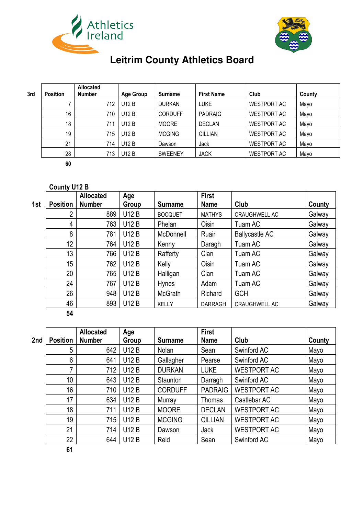



| ٦<br>× |         |
|--------|---------|
|        | ۰,<br>× |

| 3rd | <b>Position</b> | <b>Allocated</b><br><b>Number</b> | <b>Age Group</b> | Surname        | <b>First Name</b> | Club               | County |
|-----|-----------------|-----------------------------------|------------------|----------------|-------------------|--------------------|--------|
|     |                 | 712                               | U12 B            | <b>DURKAN</b>  | <b>LUKE</b>       | <b>WESTPORT AC</b> | Mayo   |
|     | 16              | 710                               | U12 B            | <b>CORDUFF</b> | <b>PADRAIG</b>    | <b>WESTPORT AC</b> | Mayo   |
|     | 18              | 711                               | U12 B            | <b>MOORE</b>   | <b>DECLAN</b>     | WESTPORT AC        | Mayo   |
|     | 19              | 715                               | U12 B            | <b>MCGING</b>  | <b>CILLIAN</b>    | WESTPORT AC        | Mayo   |
|     | 21              | 714                               | U12 B            | Dawson         | Jack              | <b>WESTPORT AC</b> | Mayo   |
|     | 28              | 713                               | U12 B            | <b>SWEENEY</b> | <b>JACK</b>       | WESTPORT AC        | Mayo   |
|     | 60              |                                   |                  |                |                   |                    |        |

#### **County U12 B**

| 1st | <b>Position</b> | <b>Allocated</b><br><b>Number</b> | Age<br>Group | <b>Surname</b> | <b>First</b><br><b>Name</b> | Club                  | County |
|-----|-----------------|-----------------------------------|--------------|----------------|-----------------------------|-----------------------|--------|
|     | ∩               | 889                               | <b>U12 B</b> | <b>BOCQUET</b> | <b>MATHYS</b>               | <b>CRAUGHWELL AC</b>  | Galway |
|     | 4               | 763                               | <b>U12 B</b> | Phelan         | Oisin                       | Tuam AC               | Galway |
|     | 8               | 781                               | <b>U12 B</b> | McDonnell      | Ruair                       | <b>Ballycastle AC</b> | Galway |
|     | 12              | 764                               | <b>U12 B</b> | Kenny          | Daragh                      | Tuam AC               | Galway |
|     | 13              | 766                               | <b>U12 B</b> | Rafferty       | Cian                        | Tuam AC               | Galway |
|     | 15              | 762                               | <b>U12 B</b> | Kelly          | Oisin                       | Tuam AC               | Galway |
|     | 20              | 765                               | <b>U12 B</b> | Halligan       | Cian                        | Tuam AC               | Galway |
|     | 24              | 767                               | U12B         | <b>Hynes</b>   | Adam                        | Tuam AC               | Galway |
|     | 26              | 948                               | <b>U12 B</b> | <b>McGrath</b> | Richard                     | <b>GCH</b>            | Galway |
|     | 46              | 893                               | <b>U12 B</b> | <b>KELLY</b>   | <b>DARRAGH</b>              | <b>CRAUGHWELL AC</b>  | Galway |
|     | 54              |                                   |              |                |                             |                       |        |

| 2nd | <b>Position</b> | <b>Allocated</b><br><b>Number</b> | Age<br>Group | <b>Surname</b> | <b>First</b><br><b>Name</b> | Club               | County |
|-----|-----------------|-----------------------------------|--------------|----------------|-----------------------------|--------------------|--------|
|     | 5               | 642                               | <b>U12 B</b> | <b>Nolan</b>   | Sean                        | Swinford AC        | Mayo   |
|     | 6               | 641                               | <b>U12 B</b> | Gallagher      | Pearse                      | Swinford AC        | Mayo   |
|     | 7               | 712                               | <b>U12 B</b> | <b>DURKAN</b>  | <b>LUKE</b>                 | <b>WESTPORT AC</b> | Mayo   |
|     | 10              | 643                               | <b>U12 B</b> | Staunton       | Darragh                     | Swinford AC        | Mayo   |
|     | 16              | 710                               | <b>U12 B</b> | <b>CORDUFF</b> | <b>PADRAIG</b>              | <b>WESTPORT AC</b> | Mayo   |
|     | 17              | 634                               | <b>U12 B</b> | Murray         | Thomas                      | Castlebar AC       | Mayo   |
|     | 18              | 711                               | <b>U12 B</b> | <b>MOORE</b>   | <b>DECLAN</b>               | <b>WESTPORT AC</b> | Mayo   |
|     | 19              | 715                               | <b>U12 B</b> | <b>MCGING</b>  | <b>CILLIAN</b>              | <b>WESTPORT AC</b> | Mayo   |
|     | 21              | 714                               | <b>U12 B</b> | Dawson         | Jack                        | <b>WESTPORT AC</b> | Mayo   |
|     | 22              | 644                               | <b>U12 B</b> | Reid           | Sean                        | Swinford AC        | Mayo   |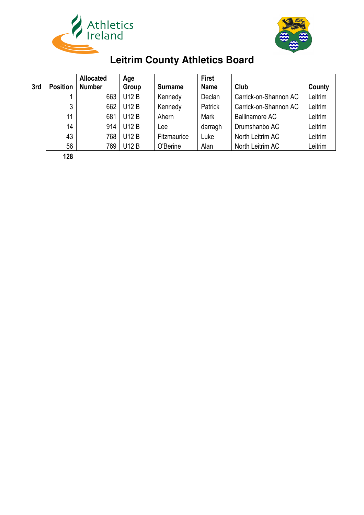



|     |                  | <b>Allocated</b> | Age          |                | <b>First</b> |                       |         |
|-----|------------------|------------------|--------------|----------------|--------------|-----------------------|---------|
| 3rd | <b>Position</b>  | <b>Number</b>    | Group        | <b>Surname</b> | <b>Name</b>  | Club                  | County  |
|     |                  | 663              | U12 B        | Kennedy        | Declan       | Carrick-on-Shannon AC | Leitrim |
|     | 3                | 662              | <b>U12 B</b> | Kennedy        | Patrick      | Carrick-on-Shannon AC | Leitrim |
|     | 11               | 681              | <b>U12 B</b> | Ahern          | Mark         | <b>Ballinamore AC</b> | Leitrim |
|     | 14               | 914              | <b>U12 B</b> | Lee            | darragh      | Drumshanbo AC         | Leitrim |
|     | 43               | 768              | U12 B        | Fitzmaurice    | Luke         | North Leitrim AC      | Leitrim |
|     | 56               | 769              | <b>U12 B</b> | O'Berine       | Alan         | North Leitrim AC      | Leitrim |
|     | $\overline{100}$ |                  |              |                |              |                       |         |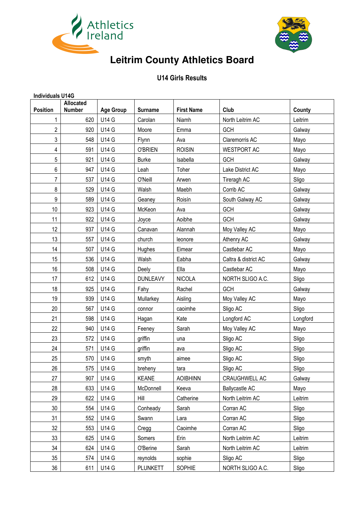



#### **U14 Girls Results**

|                 | <b>Individuals U14G</b>           |                  |                 |                   |                       |          |  |  |  |  |  |
|-----------------|-----------------------------------|------------------|-----------------|-------------------|-----------------------|----------|--|--|--|--|--|
| <b>Position</b> | <b>Allocated</b><br><b>Number</b> | <b>Age Group</b> | <b>Surname</b>  | <b>First Name</b> | Club                  | County   |  |  |  |  |  |
| 1               | 620                               | <b>U14 G</b>     | Carolan         | Niamh             | North Leitrim AC      | Leitrim  |  |  |  |  |  |
| $\overline{2}$  | 920                               | <b>U14 G</b>     | Moore           | Emma              | GCH                   | Galway   |  |  |  |  |  |
| 3               | 548                               | <b>U14 G</b>     | Flynn           | Ava               | Claremorris AC        | Mayo     |  |  |  |  |  |
| 4               | 591                               | <b>U14 G</b>     | <b>O'BRIEN</b>  | <b>ROISIN</b>     | <b>WESTPORT AC</b>    | Mayo     |  |  |  |  |  |
| 5               | 921                               | <b>U14 G</b>     | <b>Burke</b>    | Isabella          | GCH                   | Galway   |  |  |  |  |  |
| 6               | 947                               | <b>U14 G</b>     | Leah            | Toher             | Lake District AC      | Mayo     |  |  |  |  |  |
| 7               | 537                               | <b>U14 G</b>     | O'Neill         | Arwen             | Tireragh AC           | Sligo    |  |  |  |  |  |
| 8               | 529                               | <b>U14 G</b>     | Walsh           | Maebh             | Corrib AC             | Galway   |  |  |  |  |  |
| 9               | 589                               | <b>U14 G</b>     | Geaney          | Roisín            | South Galway AC       | Galway   |  |  |  |  |  |
| 10              | 923                               | <b>U14 G</b>     | McKeon          | Ava               | GCH                   | Galway   |  |  |  |  |  |
| 11              | 922                               | <b>U14 G</b>     | Joyce           | Aoibhe            | <b>GCH</b>            | Galway   |  |  |  |  |  |
| 12              | 937                               | <b>U14 G</b>     | Canavan         | Alannah           | Moy Valley AC         | Mayo     |  |  |  |  |  |
| 13              | 557                               | <b>U14 G</b>     | church          | leonore           | Athenry AC            | Galway   |  |  |  |  |  |
| 14              | 507                               | <b>U14 G</b>     | Hughes          | Eimear            | Castlebar AC          | Mayo     |  |  |  |  |  |
| 15              | 536                               | <b>U14 G</b>     | Walsh           | Eabha             | Caltra & district AC  | Galway   |  |  |  |  |  |
| 16              | 508                               | <b>U14 G</b>     | Deely           | Ella              | Castlebar AC          | Mayo     |  |  |  |  |  |
| 17              | 612                               | <b>U14 G</b>     | <b>DUNLEAVY</b> | <b>NICOLA</b>     | NORTH SLIGO A.C.      | Sligo    |  |  |  |  |  |
| 18              | 925                               | <b>U14 G</b>     | Fahy            | Rachel            | GCH                   | Galway   |  |  |  |  |  |
| 19              | 939                               | <b>U14 G</b>     | Mullarkey       | Aisling           | Moy Valley AC         | Mayo     |  |  |  |  |  |
| 20              | 567                               | <b>U14 G</b>     | connor          | caoimhe           | Sligo AC              | Sligo    |  |  |  |  |  |
| 21              | 598                               | <b>U14 G</b>     | Hagan           | Kate              | Longford AC           | Longford |  |  |  |  |  |
| 22              | 940                               | <b>U14 G</b>     | Feeney          | Sarah             | Moy Valley AC         | Mayo     |  |  |  |  |  |
| 23              | 572                               | <b>U14 G</b>     | griffin         | una               | Sligo AC              | Sligo    |  |  |  |  |  |
| 24              | 571                               | <b>U14 G</b>     | griffin         | ava               | Sligo AC              | Sligo    |  |  |  |  |  |
| 25              | 570                               | <b>U14 G</b>     | smyth           | aimee             | Sligo AC              | Sligo    |  |  |  |  |  |
| 26              | 575                               | <b>U14 G</b>     | breheny         | tara              | Sligo AC              | Sligo    |  |  |  |  |  |
| 27              | 907                               | <b>U14 G</b>     | <b>KEANE</b>    | <b>AOIBHINN</b>   | CRAUGHWELL AC         | Galway   |  |  |  |  |  |
| 28              | 633                               | <b>U14 G</b>     | McDonnell       | Keeva             | <b>Ballycastle AC</b> | Mayo     |  |  |  |  |  |
| 29              | 622                               | <b>U14 G</b>     | Hill            | Catherine         | North Leitrim AC      | Leitrim  |  |  |  |  |  |
| 30              | 554                               | <b>U14 G</b>     | Conheady        | Sarah             | Corran AC             | Sligo    |  |  |  |  |  |
| 31              | 552                               | <b>U14 G</b>     | Swann           | Lara              | Corran AC             | Sligo    |  |  |  |  |  |
| 32              | 553                               | <b>U14 G</b>     | Cregg           | Caoimhe           | Corran AC             | Sligo    |  |  |  |  |  |
| 33              | 625                               | <b>U14 G</b>     | Somers          | Erin              | North Leitrim AC      | Leitrim  |  |  |  |  |  |
| 34              | 624                               | <b>U14 G</b>     | O'Berine        | Sarah             | North Leitrim AC      | Leitrim  |  |  |  |  |  |
| 35              | 574                               | <b>U14 G</b>     | reynolds        | sophie            | Sligo AC              | Sligo    |  |  |  |  |  |
| 36              | 611                               | <b>U14 G</b>     | PLUNKETT        | SOPHIE            | NORTH SLIGO A.C.      | Sligo    |  |  |  |  |  |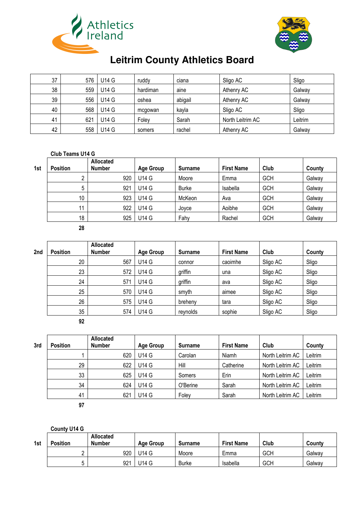



| 37 | 576 | U14 G        | ruddy    | ciana   | Sligo AC         | Sligo   |
|----|-----|--------------|----------|---------|------------------|---------|
| 38 | 559 | <b>U14 G</b> | hardiman | aine    | Athenry AC       | Galway  |
| 39 | 556 | U14 G        | oshea    | abigail | Athenry AC       | Galway  |
| 40 | 568 | U14 G        | mcgowan  | kavla   | Sligo AC         | Sligo   |
| 41 | 621 | U14 G        | Folev    | Sarah   | North Leitrim AC | Leitrim |
| 42 | 558 | <b>U14 G</b> | somers   | rachel  | Athenry AC       | Galway  |

#### **Club Teams U14 G**

| 1st | <b>Position</b> | <b>Allocated</b><br><b>Number</b> | <b>Age Group</b> | <b>Surname</b> | <b>First Name</b> | Club | County |
|-----|-----------------|-----------------------------------|------------------|----------------|-------------------|------|--------|
|     | ົ               | 920                               | U14 G            | Moore          | Emma              | GCH  | Galway |
|     | 5               | 921                               | U14 G            | <b>Burke</b>   | Isabella          | GCH  | Galway |
|     | 10              | 923                               | <b>U14 G</b>     | McKeon         | Ava               | GCH  | Galway |
|     | 11              | 922                               | U14 G            | Joyce          | Aoibhe            | GCH  | Galway |
|     | 18              | 925                               | U14 G            | Fahy           | Rachel            | GCH  | Galway |

#### 

| 2nd | <b>Position</b> | <b>Allocated</b><br><b>Number</b> | <b>Age Group</b> | <b>Surname</b> | <b>First Name</b> | Club     | County |
|-----|-----------------|-----------------------------------|------------------|----------------|-------------------|----------|--------|
|     | 20              | 567                               | U14 G            | connor         | caoimhe           | Sligo AC | Sligo  |
|     | 23              | 572                               | U14 G            | griffin        | una               | Sligo AC | Sligo  |
|     | 24              | 571                               | U14 G            | griffin        | ava               | Sligo AC | Sligo  |
|     | 25              | 570                               | U14 G            | smyth          | aimee             | Sligo AC | Sligo  |
|     | 26              | 575                               | U14 G            | breheny        | tara              | Sligo AC | Sligo  |
|     | 35              | 574                               | U14 G            | reynolds       | sophie            | Sligo AC | Sligo  |

| 3rd | <b>Position</b> | Allocated<br><b>Number</b> | <b>Age Group</b> | <b>Surname</b> | <b>First Name</b> | Club             | County  |
|-----|-----------------|----------------------------|------------------|----------------|-------------------|------------------|---------|
|     |                 | 620                        | U14 G            | Carolan        | Niamh             | North Leitrim AC | Leitrim |
|     | 29              | 622                        | U14 G            | Hill           | Catherine         | North Leitrim AC | eitrim. |
|     | 33              | 625                        | U14 G            | Somers         | Erin              | North Leitrim AC | eitrim. |
|     | 34              | 624                        | U14 G            | O'Berine       | Sarah             | North Leitrim AC | eitrim. |
|     | 41              | 621                        | U14 G            | Folev          | Sarah             | North Leitrim AC | Leitrim |

#### **County U14 G**

| 1st | <b>Position</b> | <b>Allocated</b><br><b>Number</b> | Age Group | <b>Surname</b> | <b>First Name</b> | Club       | County |
|-----|-----------------|-----------------------------------|-----------|----------------|-------------------|------------|--------|
|     | ⌒<br><u>.</u>   | 920                               | U14 G     | Moore          | Emma              | <b>GCH</b> | Galway |
|     | ບ               | 921                               | U14 G     | Burke          | Isabella          | <b>GCH</b> | Galway |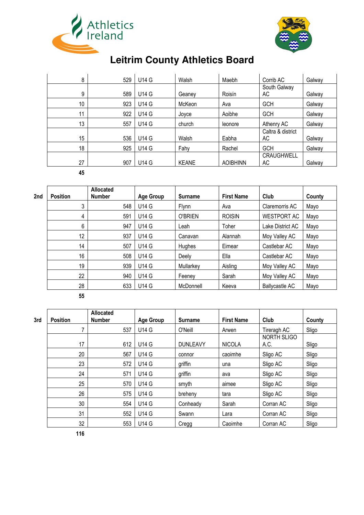



| 8  | 529 | U14 G        | Walsh        | Maebh           | Corrib AC               | Galway |
|----|-----|--------------|--------------|-----------------|-------------------------|--------|
| 9  | 589 | <b>U14 G</b> | Geaney       | Roisín          | South Galway<br>AC      | Galway |
| 10 | 923 | U14 G        | McKeon       | Ava             | <b>GCH</b>              | Galway |
| 11 | 922 | <b>U14 G</b> | Joyce        | Aoibhe          | <b>GCH</b>              | Galway |
| 13 | 557 | U14 G        | church       | leonore         | Athenry AC              | Galway |
| 15 | 536 | <b>U14 G</b> | Walsh        | Eabha           | Caltra & district<br>AC | Galway |
| 18 | 925 | <b>U14 G</b> | Fahy         | Rachel          | <b>GCH</b>              | Galway |
| 27 | 907 | U14 G        | <b>KEANE</b> | <b>AOIBHINN</b> | CRAUGHWELL<br>AC        | Galway |
| 45 |     |              |              |                 |                         |        |

**2nd Position Allocated Number Age Group Surname First Name Club County** 3 | 548 | U14 G | Flynn | Ava | Claremorris AC | Mayo 4 591 U14 G O'BRIEN ROISIN WESTPORT AC Mayo 6 947 U14 G Leah Toher Lake District AC Mayo 12 | 937 | U14 G | Canavan | Alannah | Moy Valley AC | Mayo 14 | 507 | U14 G | Hughes | Eimear | Castlebar AC | Mayo 16 508 U14 G Deely Ella Castlebar AC Mayo 19 | 939 | U14 G | Mullarkey | Aisling | Moy Valley AC | Mayo 22 | 940 | U14 G | Feeney | Sarah | Moy Valley AC | Mayo 28 | 633 | U14 G | McDonnell | Keeva | Ballycastle AC | Mayo

| 3rd | <b>Position</b> | Allocated<br><b>Number</b> | <b>Age Group</b> | <b>Surname</b>  | <b>First Name</b> | Club                | County |
|-----|-----------------|----------------------------|------------------|-----------------|-------------------|---------------------|--------|
|     |                 | 537                        | <b>U14 G</b>     | O'Neill         | Arwen             | Tireragh AC         | Sligo  |
|     | 17              | 612                        | <b>U14 G</b>     | <b>DUNLEAVY</b> | <b>NICOLA</b>     | NORTH SLIGO<br>A.C. | Sligo  |
|     | 20              | 567                        | <b>U14 G</b>     | connor          | caoimhe           | Sligo AC            | Sligo  |
|     | 23              | 572                        | U14 G            | griffin         | una               | Sligo AC            | Sligo  |
|     | 24              | 571                        | <b>U14 G</b>     | griffin         | ava               | Sligo AC            | Sligo  |
|     | 25              | 570                        | <b>U14 G</b>     | smyth           | aimee             | Sligo AC            | Sligo  |
|     | 26              | 575                        | <b>U14 G</b>     | breheny         | tara              | Sligo AC            | Sligo  |
|     | 30              | 554                        | <b>U14 G</b>     | Conheady        | Sarah             | Corran AC           | Sligo  |
|     | 31              | 552                        | <b>U14 G</b>     | Swann           | Lara              | Corran AC           | Sligo  |
|     | 32              | 553                        | <b>U14 G</b>     | Cregg           | Caoimhe           | Corran AC           | Sligo  |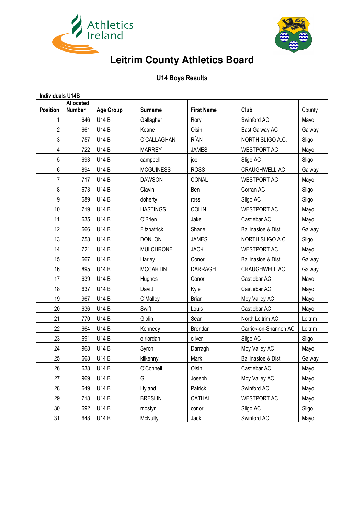



### **U14 Boys Results**

|                 | <b>Individuals U14B</b>           |                  |                  |                   |                       |         |  |  |  |  |  |
|-----------------|-----------------------------------|------------------|------------------|-------------------|-----------------------|---------|--|--|--|--|--|
| <b>Position</b> | <b>Allocated</b><br><b>Number</b> | <b>Age Group</b> | <b>Surname</b>   | <b>First Name</b> | Club                  | County  |  |  |  |  |  |
|                 | 646                               | <b>U14B</b>      | Gallagher        | Rory              | Swinford AC           | Mayo    |  |  |  |  |  |
| $\overline{2}$  | 661                               | <b>U14B</b>      | Keane            | Oisin             | East Galway AC        | Galway  |  |  |  |  |  |
| 3               | 757                               | <b>U14B</b>      | O'CALLAGHAN      | RÍAN              | NORTH SLIGO A.C.      | Sligo   |  |  |  |  |  |
| 4               | 722                               | <b>U14B</b>      | <b>MARREY</b>    | <b>JAMES</b>      | <b>WESTPORT AC</b>    | Mayo    |  |  |  |  |  |
| 5               | 693                               | <b>U14B</b>      | campbell         | joe               | Sligo AC              | Sligo   |  |  |  |  |  |
| 6               | 894                               | <b>U14B</b>      | <b>MCGUINESS</b> | <b>ROSS</b>       | CRAUGHWELL AC         | Galway  |  |  |  |  |  |
| 7               | 717                               | <b>U14B</b>      | <b>DAWSON</b>    | CONAL             | <b>WESTPORT AC</b>    | Mayo    |  |  |  |  |  |
| 8               | 673                               | <b>U14B</b>      | Clavin           | Ben               | Corran AC             | Sligo   |  |  |  |  |  |
| 9               | 689                               | <b>U14B</b>      | doherty          | ross              | Sligo AC              | Sligo   |  |  |  |  |  |
| 10              | 719                               | <b>U14B</b>      | <b>HASTINGS</b>  | <b>COLIN</b>      | <b>WESTPORT AC</b>    | Mayo    |  |  |  |  |  |
| 11              | 635                               | <b>U14B</b>      | O'Brien          | Jake              | Castlebar AC          | Mayo    |  |  |  |  |  |
| 12              | 666                               | <b>U14B</b>      | Fitzpatrick      | Shane             | Ballinasloe & Dist    | Galway  |  |  |  |  |  |
| 13              | 758                               | <b>U14B</b>      | <b>DONLON</b>    | <b>JAMES</b>      | NORTH SLIGO A.C.      | Sligo   |  |  |  |  |  |
| 14              | 721                               | <b>U14B</b>      | <b>MULCHRONE</b> | <b>JACK</b>       | <b>WESTPORT AC</b>    | Mayo    |  |  |  |  |  |
| 15              | 667                               | <b>U14B</b>      | Harley           | Conor             | Ballinasloe & Dist    | Galway  |  |  |  |  |  |
| 16              | 895                               | <b>U14B</b>      | <b>MCCARTIN</b>  | <b>DARRAGH</b>    | CRAUGHWELL AC         | Galway  |  |  |  |  |  |
| 17              | 639                               | <b>U14B</b>      | Hughes           | Conor             | Castlebar AC          | Mayo    |  |  |  |  |  |
| 18              | 637                               | <b>U14B</b>      | Davitt           | Kyle              | Castlebar AC          | Mayo    |  |  |  |  |  |
| 19              | 967                               | <b>U14B</b>      | O'Malley         | <b>Brian</b>      | Moy Valley AC         | Mayo    |  |  |  |  |  |
| 20              | 636                               | <b>U14B</b>      | Swift            | Louis             | Castlebar AC          | Mayo    |  |  |  |  |  |
| 21              | 770                               | <b>U14B</b>      | Giblin           | Sean              | North Leitrim AC      | Leitrim |  |  |  |  |  |
| 22              | 664                               | <b>U14B</b>      | Kennedy          | Brendan           | Carrick-on-Shannon AC | Leitrim |  |  |  |  |  |
| 23              | 691                               | <b>U14B</b>      | o riordan        | oliver            | Sligo AC              | Sligo   |  |  |  |  |  |
| 24              | 968                               | <b>U14B</b>      | Syron            | Darragh           | Moy Valley AC         | Mayo    |  |  |  |  |  |
| 25              | 668                               | <b>U14B</b>      | kilkenny         | Mark              | Ballinasloe & Dist    | Galway  |  |  |  |  |  |
| 26              | 638                               | <b>U14B</b>      | O'Connell        | Oisin             | Castlebar AC          | Mayo    |  |  |  |  |  |
| 27              | 969                               | <b>U14B</b>      | Gill             | Joseph            | Moy Valley AC         | Mayo    |  |  |  |  |  |
| 28              | 649                               | <b>U14B</b>      | Hyland           | Patrick           | Swinford AC           | Mayo    |  |  |  |  |  |
| 29              | 718                               | <b>U14B</b>      | <b>BRESLIN</b>   | CATHAL            | <b>WESTPORT AC</b>    | Mayo    |  |  |  |  |  |
| 30              | 692                               | <b>U14B</b>      | mostyn           | conor             | Sligo AC              | Sligo   |  |  |  |  |  |
| 31              | 648                               | U14 B            | <b>McNulty</b>   | Jack              | Swinford AC           | Mayo    |  |  |  |  |  |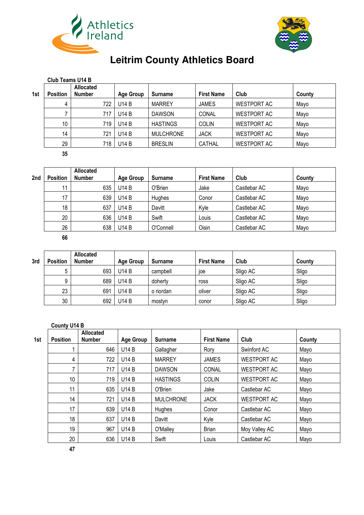



| Club Teams U14 B |                 |                                   |                  |                  |                   |                    |        |  |
|------------------|-----------------|-----------------------------------|------------------|------------------|-------------------|--------------------|--------|--|
| 1st              | <b>Position</b> | <b>Allocated</b><br><b>Number</b> | <b>Age Group</b> | <b>Surname</b>   | <b>First Name</b> | Club               | County |  |
|                  | 4               | 722                               | U14 B            | <b>MARREY</b>    | <b>JAMES</b>      | <b>WESTPORT AC</b> | Mayo   |  |
|                  |                 | 717                               | U14 B            | <b>DAWSON</b>    | CONAL             | <b>WESTPORT AC</b> | Mayo   |  |
|                  | 10              | 719                               | U14 B            | <b>HASTINGS</b>  | <b>COLIN</b>      | <b>WESTPORT AC</b> | Mayo   |  |
|                  | 14              | 721                               | U14 B            | <b>MULCHRONE</b> | <b>JACK</b>       | <b>WESTPORT AC</b> | Mayo   |  |
|                  | 29              | 718                               | U14 B            | <b>BRESLIN</b>   | CATHAL            | <b>WESTPORT AC</b> | Mayo   |  |

| 2 <sub>nd</sub> | <b>Position</b> | <b>Allocated</b><br><b>Number</b> | <b>Age Group</b> | <b>Surname</b> | <b>First Name</b> | Club         | County |
|-----------------|-----------------|-----------------------------------|------------------|----------------|-------------------|--------------|--------|
|                 | 11              | 635                               | U14 B            | O'Brien        | Jake              | Castlebar AC | Mayo   |
|                 | 17              | 639                               | U14 B            | Hughes         | Conor             | Castlebar AC | Mayo   |
|                 | 18              | 637                               | <b>U14 B</b>     | Davitt         | Kyle              | Castlebar AC | Mayo   |
|                 | 20              | 636                               | U14 B            | Swift          | Louis             | Castlebar AC | Mayo   |
|                 | 26              | 638                               | <b>U14 B</b>     | O'Connell      | Oisin             | Castlebar AC | Mayo   |
|                 | 66              |                                   |                  |                |                   |              |        |

| 3rd | <b>Position</b> | <b>Allocated</b><br><b>Number</b> | Age Group | <b>Surname</b> | <b>First Name</b> | Club     | County |
|-----|-----------------|-----------------------------------|-----------|----------------|-------------------|----------|--------|
|     | 5               | 693                               | U14 B     | campbell       | joe               | Sligo AC | Sligo  |
|     | a               | 689                               | U14 B     | doherty        | ross              | Sligo AC | Sligo  |
|     | 23              | 691                               | U14 B     | o riordan      | oliver            | Sligo AC | Sligo  |
|     | 30              | 692                               | U14 B     | mostyn         | conor             | Sligo AC | Sligo  |

#### **County U14 B**

| 1st | <b>Position</b> | <b>Allocated</b><br><b>Number</b> | <b>Age Group</b> | <b>Surname</b>   | <b>First Name</b> | Club               | County |
|-----|-----------------|-----------------------------------|------------------|------------------|-------------------|--------------------|--------|
|     |                 | 646                               | <b>U14 B</b>     | Gallagher        | Rory              | Swinford AC        | Mayo   |
|     | 4               | 722                               | <b>U14 B</b>     | <b>MARREY</b>    | <b>JAMES</b>      | <b>WESTPORT AC</b> | Mayo   |
|     |                 | 717                               | <b>U14 B</b>     | <b>DAWSON</b>    | CONAL             | <b>WESTPORT AC</b> | Mayo   |
|     | 10              | 719                               | <b>U14 B</b>     | <b>HASTINGS</b>  | <b>COLIN</b>      | <b>WESTPORT AC</b> | Mayo   |
|     | 11              | 635                               | <b>U14 B</b>     | O'Brien          | Jake              | Castlebar AC       | Mayo   |
|     | 14              | 721                               | <b>U14 B</b>     | <b>MULCHRONE</b> | <b>JACK</b>       | <b>WESTPORT AC</b> | Mayo   |
|     | 17              | 639                               | <b>U14 B</b>     | Hughes           | Conor             | Castlebar AC       | Mayo   |
|     | 18              | 637                               | <b>U14 B</b>     | Davitt           | Kyle              | Castlebar AC       | Mayo   |
|     | 19              | 967                               | <b>U14 B</b>     | O'Malley         | <b>Brian</b>      | Moy Valley AC      | Mayo   |
|     | 20              | 636                               | <b>U14 B</b>     | Swift            | Louis             | Castlebar AC       | Mayo   |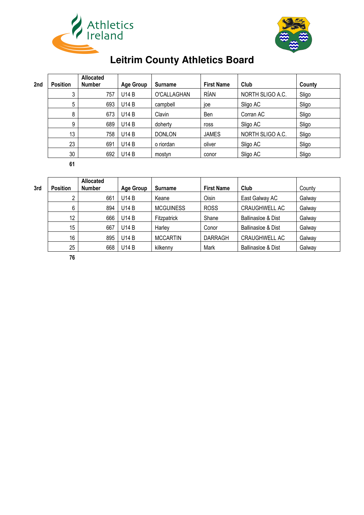



| 2nd | <b>Position</b> | Allocated<br><b>Number</b> | <b>Age Group</b> | <b>Surname</b> | <b>First Name</b> | Club             | County |
|-----|-----------------|----------------------------|------------------|----------------|-------------------|------------------|--------|
|     | 3               | 757                        | <b>U14 B</b>     | O'CALLAGHAN    | RÍAN              | NORTH SLIGO A.C. | Sligo  |
|     | 5               | 693                        | <b>U14 B</b>     | campbell       | joe               | Sligo AC         | Sligo  |
|     | 8               | 673                        | <b>U14 B</b>     | Clavin         | Ben               | Corran AC        | Sligo  |
|     | 9               | 689                        | <b>U14 B</b>     | doherty        | ross              | Sligo AC         | Sligo  |
|     | 13              | 758                        | <b>U14 B</b>     | <b>DONLON</b>  | <b>JAMES</b>      | NORTH SLIGO A.C. | Sligo  |
|     | 23              | 691                        | <b>U14 B</b>     | o riordan      | oliver            | Sligo AC         | Sligo  |
|     | 30              | 692                        | <b>U14 B</b>     | mostyn         | conor             | Sligo AC         | Sligo  |
|     | 61              |                            |                  |                |                   |                  |        |

|     |                 | <b>Allocated</b> |                  |                  |                   |                               |        |
|-----|-----------------|------------------|------------------|------------------|-------------------|-------------------------------|--------|
| 3rd | <b>Position</b> | <b>Number</b>    | <b>Age Group</b> | <b>Surname</b>   | <b>First Name</b> | Club                          | County |
|     | C.              | 661              | U14 B            | Keane            | Oisin             | East Galway AC                | Galway |
|     | 6               | 894              | <b>U14 B</b>     | <b>MCGUINESS</b> | <b>ROSS</b>       | <b>CRAUGHWELL AC</b>          | Galway |
|     | 12              | 666              | <b>U14 B</b>     | Fitzpatrick      | Shane             | <b>Ballinasloe &amp; Dist</b> | Galway |
|     | 15              | 667              | U14 B            | Harley           | Conor             | <b>Ballinasloe &amp; Dist</b> | Galway |
|     | 16              | 895              | U14 B            | <b>MCCARTIN</b>  | <b>DARRAGH</b>    | <b>CRAUGHWELL AC</b>          | Galway |
|     | 25              | 668              | U14 B            | kilkenny         | Mark              | <b>Ballinasloe &amp; Dist</b> | Galway |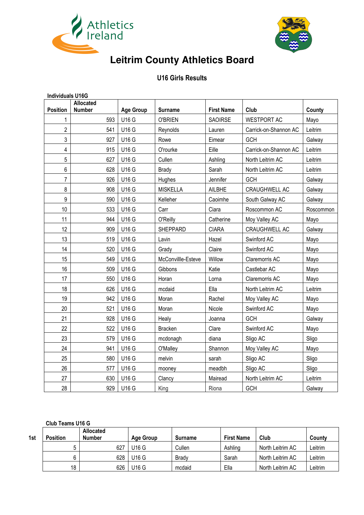



#### **U16 Girls Results**

| <b>Individuals U16G</b> |                                   |                  |                    |                   |                       |           |
|-------------------------|-----------------------------------|------------------|--------------------|-------------------|-----------------------|-----------|
| <b>Position</b>         | <b>Allocated</b><br><b>Number</b> | <b>Age Group</b> | <b>Surname</b>     | <b>First Name</b> | Club                  | County    |
| 1                       | 593                               | <b>U16 G</b>     | <b>O'BRIEN</b>     | <b>SAOIRSE</b>    | <b>WESTPORT AC</b>    | Mayo      |
| $\overline{2}$          | 541                               | <b>U16 G</b>     | Reynolds           | Lauren            | Carrick-on-Shannon AC | Leitrim   |
| 3                       | 927                               | <b>U16 G</b>     | Rowe               | Eimear            | <b>GCH</b>            | Galway    |
| 4                       | 915                               | <b>U16 G</b>     | O'rourke           | Eille             | Carrick-on-Shannon AC | Leitrim   |
| 5                       | 627                               | <b>U16 G</b>     | Cullen             | Ashling           | North Leitrim AC      | Leitrim   |
| 6                       | 628                               | <b>U16 G</b>     | <b>Brady</b>       | Sarah             | North Leitrim AC      | Leitrim   |
| $\overline{7}$          | 926                               | <b>U16 G</b>     | Hughes             | Jennifer          | GCH                   | Galway    |
| 8                       | 908                               | <b>U16 G</b>     | <b>MISKELLA</b>    | <b>AILBHE</b>     | CRAUGHWELL AC         | Galway    |
| 9                       | 590                               | <b>U16 G</b>     | Kelleher           | Caoimhe           | South Galway AC       | Galway    |
| 10                      | 533                               | <b>U16 G</b>     | Carr               | Ciara             | Roscommon AC          | Roscommon |
| 11                      | 944                               | <b>U16 G</b>     | O'Reilly           | Catherine         | Moy Valley AC         | Mayo      |
| 12                      | 909                               | <b>U16 G</b>     | SHEPPARD           | <b>CIARA</b>      | <b>CRAUGHWELL AC</b>  | Galway    |
| 13                      | 519                               | <b>U16 G</b>     | Lavin              | Hazel             | Swinford AC           | Mayo      |
| 14                      | 520                               | <b>U16 G</b>     | Grady              | Claire            | Swinford AC           | Mayo      |
| 15                      | 549                               | <b>U16 G</b>     | McConvillle-Esteve | Willow            | Claremorris AC        | Mayo      |
| 16                      | 509                               | <b>U16 G</b>     | Gibbons            | Katie             | Castlebar AC          | Mayo      |
| 17                      | 550                               | <b>U16 G</b>     | Horan              | Lorna             | Claremorris AC        | Mayo      |
| 18                      | 626                               | <b>U16 G</b>     | mcdaid             | Ella              | North Leitrim AC      | Leitrim   |
| 19                      | 942                               | <b>U16 G</b>     | Moran              | Rachel            | Moy Valley AC         | Mayo      |
| 20                      | 521                               | <b>U16 G</b>     | Moran              | Nicole            | Swinford AC           | Mayo      |
| 21                      | 928                               | <b>U16 G</b>     | Healy              | Joanna            | GCH                   | Galway    |
| 22                      | 522                               | <b>U16 G</b>     | <b>Bracken</b>     | Clare             | Swinford AC           | Mayo      |
| 23                      | 579                               | <b>U16 G</b>     | mcdonagh           | diana             | Sligo AC              | Sligo     |
| 24                      | 941                               | <b>U16 G</b>     | O'Malley           | Shannon           | Moy Valley AC         | Mayo      |
| 25                      | 580                               | <b>U16 G</b>     | melvin             | sarah             | Sligo AC              | Sligo     |
| 26                      | 577                               | <b>U16 G</b>     | mooney             | meadbh            | Sligo AC              | Sligo     |
| 27                      | 630                               | <b>U16 G</b>     | Clancy             | Mairead           | North Leitrim AC      | Leitrim   |
| 28                      | 929                               | <b>U16 G</b>     | King               | Riona             | GCH                   | Galway    |

#### **Club Teams U16 G**

| 1st | <b>Position</b> | <b>Allocated</b><br><b>Number</b> | <b>Age Group</b> | <b>Surname</b> | <b>First Name</b> | Club             | County  |
|-----|-----------------|-----------------------------------|------------------|----------------|-------------------|------------------|---------|
|     |                 | 627                               | U16 G            | Cullen         | Ashling           | North Leitrim AC | Leitrim |
|     |                 | 628                               | U16 G            | <b>Brady</b>   | Sarah             | North Leitrim AC | Leitrim |
|     | 18              | 626                               | U16 G            | mcdaid         | Ella              | North Leitrim AC | Leitrim |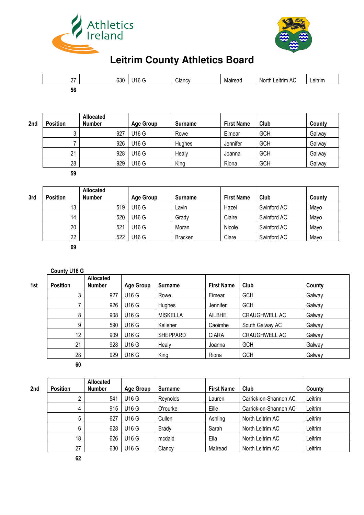



| ~-<br><u>.</u> | 630 | 14C<br>-<br>∼ | Clancy | Mairead | C<br>ı AC<br>eitrim<br>Norti. | . .<br>Leitrim |
|----------------|-----|---------------|--------|---------|-------------------------------|----------------|
| 56             |     |               |        |         |                               |                |

| 2 <sub>nd</sub> | <b>Position</b> | Allocated<br><b>Number</b> | <b>Age Group</b> | <b>Surname</b> | <b>First Name</b> | Club       | County |
|-----------------|-----------------|----------------------------|------------------|----------------|-------------------|------------|--------|
|                 | ົ               | 927                        | U16 G            | Rowe           | Eimear            | <b>GCH</b> | Galway |
|                 |                 | 926                        | <b>U16 G</b>     | Hughes         | Jennifer          | <b>GCH</b> | Galway |
|                 | 21              | 928                        | U16 G            | Healy          | Joanna            | <b>GCH</b> | Galway |
|                 | 28              | 929                        | U16 G            | King           | Riona             | <b>GCH</b> | Galway |
|                 | 59              |                            |                  |                |                   |            |        |

**3rd Position**

| <b>Position</b> | Allocated<br><b>Number</b> | Age Group | <b>Surname</b> | <b>First Name</b> | Club        | County |
|-----------------|----------------------------|-----------|----------------|-------------------|-------------|--------|
| 13              | 519                        | U16 G     | Lavin          | Hazel             | Swinford AC | Mayo   |
| 14              | 520                        | U16 G     | Grady          | Claire            | Swinford AC | Mayo   |
| 20              | 521                        | U16 G     | Moran          | Nicole            | Swinford AC | Mayo   |
| 22              | 522                        | U16 G     | <b>Bracken</b> | Clare             | Swinford AC | Mayo   |

**County U16 G**

| 1st | <b>Position</b> | <b>Allocated</b><br><b>Number</b> | <b>Age Group</b> | <b>Surname</b>  | <b>First Name</b> | Club            | County |
|-----|-----------------|-----------------------------------|------------------|-----------------|-------------------|-----------------|--------|
|     | s               | 927                               | U16 G            | Rowe            | Eimear            | <b>GCH</b>      | Galway |
|     |                 | 926                               | U16 G            | Hughes          | <b>Jennifer</b>   | <b>GCH</b>      | Galway |
|     | 8               | 908                               | U16 G            | <b>MISKELLA</b> | AILBHE            | CRAUGHWELL AC   | Galway |
|     | 9               | 590                               | U16 G            | Kelleher        | Caoimhe           | South Galway AC | Galway |
|     | 12              | 909                               | <b>U16 G</b>     | <b>SHEPPARD</b> | <b>CIARA</b>      | CRAUGHWELL AC   | Galway |
|     | 21              | 928                               | U16 G            | Healy           | Joanna            | <b>GCH</b>      | Galway |
|     | 28              | 929                               | U16 G            | King            | Riona             | <b>GCH</b>      | Galway |
|     | 60              |                                   |                  |                 |                   |                 |        |

**2nd Position**

| <b>Position</b> | <b>Allocated</b><br><b>Number</b> | <b>Age Group</b> | Surname  | <b>First Name</b> | Club                  | County  |
|-----------------|-----------------------------------|------------------|----------|-------------------|-----------------------|---------|
|                 | 541                               | U16 G            | Reynolds | Lauren            | Carrick-on-Shannon AC | Leitrim |
| 4               | 915                               | U16 G            | O'rourke | Eille             | Carrick-on-Shannon AC | Leitrim |
| 5               | 627                               | U16 G            | Cullen   | Ashling           | North Leitrim AC      | Leitrim |
| 6               | 628                               | U16 G            | Brady    | Sarah             | North Leitrim AC      | Leitrim |
| 18              | 626                               | U16 G            | mcdaid   | Ella              | North Leitrim AC      | Leitrim |
| 27              | 630                               | U16 G            | Clancy   | Mairead           | North Leitrim AC      | Leitrim |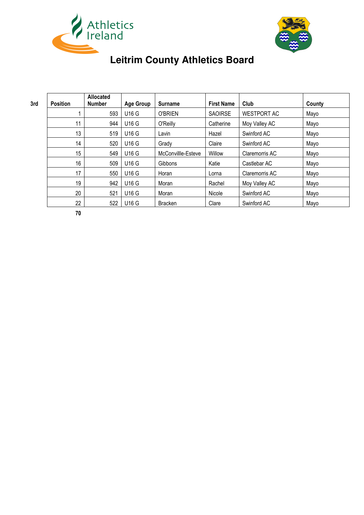



| 3rd | <b>Position</b> | Allocated<br><b>Number</b> | <b>Age Group</b> | <b>Surname</b>     | <b>First Name</b> | Club               | County |
|-----|-----------------|----------------------------|------------------|--------------------|-------------------|--------------------|--------|
|     |                 | 593                        | <b>U16 G</b>     | O'BRIEN            | <b>SAOIRSE</b>    | <b>WESTPORT AC</b> | Mayo   |
|     | 11              | 944                        | <b>U16 G</b>     | O'Reilly           | Catherine         | Moy Valley AC      | Mayo   |
|     | 13              | 519                        | <b>U16 G</b>     | Lavin              | Hazel             | Swinford AC        | Mayo   |
|     | 14              | 520                        | <b>U16 G</b>     | Grady              | Claire            | Swinford AC        | Mayo   |
|     | 15              | 549                        | <b>U16 G</b>     | McConvillle-Esteve | Willow            | Claremorris AC     | Mayo   |
|     | 16              | 509                        | <b>U16 G</b>     | Gibbons            | Katie             | Castlebar AC       | Mayo   |
|     | 17              | 550                        | <b>U16 G</b>     | Horan              | Lorna             | Claremorris AC     | Mayo   |
|     | 19              | 942                        | <b>U16 G</b>     | Moran              | Rachel            | Moy Valley AC      | Mayo   |
|     | 20              | 521                        | <b>U16 G</b>     | Moran              | Nicole            | Swinford AC        | Mayo   |
|     | 22              | 522                        | <b>U16 G</b>     | <b>Bracken</b>     | Clare             | Swinford AC        | Mayo   |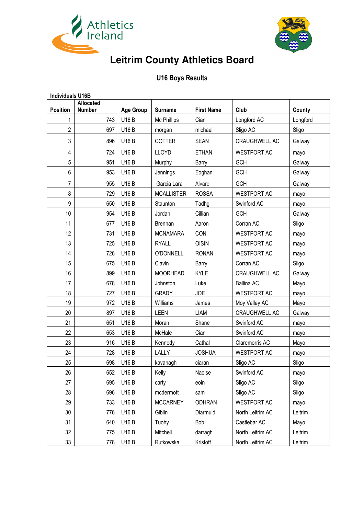



### **U16 Boys Results**

| <b>Individuals U16B</b> |                                   |                  |                   |                   |                    |          |
|-------------------------|-----------------------------------|------------------|-------------------|-------------------|--------------------|----------|
| <b>Position</b>         | <b>Allocated</b><br><b>Number</b> | <b>Age Group</b> | <b>Surname</b>    | <b>First Name</b> | Club               | County   |
| 1                       | 743                               | <b>U16 B</b>     | Mc Phillips       | Cian              | Longford AC        | Longford |
| $\overline{2}$          | 697                               | U16 B            | morgan            | michael           | Sligo AC           | Sligo    |
| 3                       | 896                               | <b>U16 B</b>     | <b>COTTER</b>     | <b>SEAN</b>       | CRAUGHWELL AC      | Galway   |
|                         |                                   |                  |                   |                   |                    |          |
| 4                       | 724                               | <b>U16 B</b>     | <b>LLOYD</b>      | <b>ETHAN</b>      | <b>WESTPORT AC</b> | mayo     |
| 5                       | 951                               | <b>U16 B</b>     | Murphy            | Barry             | GCH                | Galway   |
| 6                       | 953                               | U16 B            | Jennings          | Eoghan            | GCH                | Galway   |
| 7                       | 955                               | U16 B            | Garcia Lara       | Alvaro            | <b>GCH</b>         | Galway   |
| 8                       | 729                               | <b>U16 B</b>     | <b>MCALLISTER</b> | <b>ROSSA</b>      | <b>WESTPORT AC</b> | mayo     |
| 9                       | 650                               | <b>U16 B</b>     | Staunton          | Tadhg             | Swinford AC        | mayo     |
| 10                      | 954                               | U16 B            | Jordan            | Cillian           | GCH                | Galway   |
| 11                      | 677                               | U16 B            | <b>Brennan</b>    | Aaron             | Corran AC          | Sligo    |
| 12                      | 731                               | <b>U16 B</b>     | <b>MCNAMARA</b>   | CON               | <b>WESTPORT AC</b> | mayo     |
| 13                      | 725                               | <b>U16 B</b>     | <b>RYALL</b>      | <b>OISIN</b>      | <b>WESTPORT AC</b> | mayo     |
| 14                      | 726                               | U16 B            | <b>O'DONNELL</b>  | <b>RONAN</b>      | <b>WESTPORT AC</b> | mayo     |
| 15                      | 675                               | <b>U16 B</b>     | Clavin            | Barry             | Corran AC          | Sligo    |
| 16                      | 899                               | <b>U16 B</b>     | <b>MOORHEAD</b>   | <b>KYLE</b>       | CRAUGHWELL AC      | Galway   |
| 17                      | 678                               | <b>U16 B</b>     | Johnston          | Luke              | Ballina AC         | Mayo     |
| 18                      | 727                               | <b>U16 B</b>     | <b>GRADY</b>      | <b>JOE</b>        | <b>WESTPORT AC</b> | mayo     |
| 19                      | 972                               | <b>U16 B</b>     | Williams          | James             | Moy Valley AC      | Mayo     |
| 20                      | 897                               | U16 B            | LEEN              | <b>LIAM</b>       | CRAUGHWELL AC      | Galway   |
| 21                      | 651                               | U16 B            | Moran             | Shane             | Swinford AC        | mayo     |
| 22                      | 653                               | <b>U16 B</b>     | McHale            | Cian              | Swinford AC        | mayo     |
| 23                      | 916                               | <b>U16 B</b>     | Kennedy           | Cathal            | Claremorris AC     | Mayo     |
| 24                      | 728                               | <b>U16 B</b>     | LALLY             | <b>JOSHUA</b>     | <b>WESTPORT AC</b> | mayo     |
| 25                      | 698                               | U16 B            | kavanagh          | ciaran            | Sligo AC           | Sligo    |
| 26                      | 652                               | U16 B            | Kelly             | Naoise            | Swinford AC        | mayo     |
| 27                      | 695                               | U16 B            | carty             | eoin              | Sligo AC           | Sligo    |
| 28                      | 696                               | U16 B            | mcdermott         | sam               | Sligo AC           | Sligo    |
| 29                      | 733                               | U16 B            | <b>MCCARNEY</b>   | ODHRAN            | <b>WESTPORT AC</b> | mayo     |
| 30                      | 776                               | U16 B            | Giblin            | Diarmuid          | North Leitrim AC   | Leitrim  |
| 31                      | 640                               | U16 B            | Tuohy             | Bob               | Castlebar AC       | Mayo     |
| 32                      | 775                               | U16 B            | Mitchell          | darragh           | North Leitrim AC   | Leitrim  |
| 33                      | 778                               | U16 B            | Rutkowska         | Kristoff          | North Leitrim AC   | Leitrim  |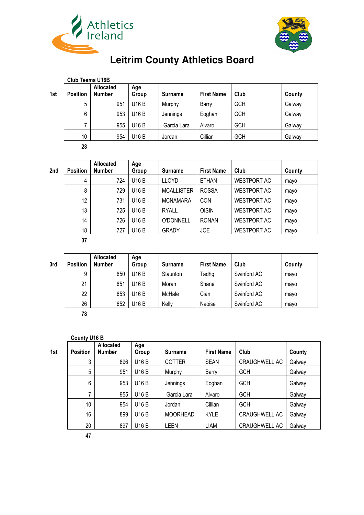



**Club Teams U16B 1st Position Allocated Number Age Group Surname First Name Club County** 5 | 951 | U16 B | Murphy | Barry | GCH | Galway 6 953 U16 B Jennings Eoghan GCH Galway 7 955 U16 B Garcia Lara Alvaro GCH Galway 10 | 954 | U16 B | Jordan | Cillian | GCH | Galway **28**

**2nd Position**

| <b>Position</b> | <b>Allocated</b><br><b>Number</b> | Age<br>Group | <b>Surname</b>    | <b>First Name</b> | Club               | County |
|-----------------|-----------------------------------|--------------|-------------------|-------------------|--------------------|--------|
| 4               | 724                               | <b>U16B</b>  | <b>LLOYD</b>      | <b>ETHAN</b>      | <b>WESTPORT AC</b> | mayo   |
| 8               | 729                               | U16 B        | <b>MCALLISTER</b> | <b>ROSSA</b>      | <b>WESTPORT AC</b> | mayo   |
| 12              | 731                               | U16 B        | <b>MCNAMARA</b>   | <b>CON</b>        | <b>WESTPORT AC</b> | mayo   |
| 13              | 725                               | U16 B        | RYALL             | <b>OISIN</b>      | <b>WESTPORT AC</b> | mayo   |
| 14              | 726                               | U16 B        | <b>O'DONNELL</b>  | <b>RONAN</b>      | <b>WESTPORT AC</b> | mayo   |
| 18              | 727                               | U16 B        | <b>GRADY</b>      | <b>JOE</b>        | <b>WESTPORT AC</b> | mayo   |
| 37              |                                   |              |                   |                   |                    |        |

**3rd Position**

| <b>Position</b> | <b>Allocated</b><br><b>Number</b> | Age<br>Group | Surname  | <b>First Name</b> | Club        | County |
|-----------------|-----------------------------------|--------------|----------|-------------------|-------------|--------|
| 9               | 650                               | U16 B        | Staunton | Tadhg             | Swinford AC | mayo   |
| 21              | 651                               | <b>U16 B</b> | Moran    | Shane             | Swinford AC | mayo   |
| 22              | 653                               | U16 B        | McHale   | Cian              | Swinford AC | mayo   |
| 26              | 652                               | U16 B        | Kelly    | Naoise            | Swinford AC | mayo   |
| 78              |                                   |              |          |                   |             |        |

#### **County U16 B**

**1st Position**

| <b>Position</b> | Allocated<br><b>Number</b> | Age<br>Group | <b>Surname</b>  | <b>First Name</b> | Club                 | County |
|-----------------|----------------------------|--------------|-----------------|-------------------|----------------------|--------|
| 3               | 896                        | U16 B        | <b>COTTER</b>   | <b>SEAN</b>       | <b>CRAUGHWELL AC</b> | Galway |
| 5               | 951                        | <b>U16 B</b> | Murphy          | Barry             | GCH                  | Galway |
| 6               | 953                        | U16 B        | Jennings        | Eoghan            | <b>GCH</b>           | Galway |
| 7               | 955                        | U16 B        | Garcia Lara     | Alvaro            | <b>GCH</b>           | Galway |
| 10              | 954                        | U16 B        | Jordan          | Cillian           | <b>GCH</b>           | Galway |
| 16              | 899                        | U16 B        | <b>MOORHEAD</b> | <b>KYLE</b>       | <b>CRAUGHWELL AC</b> | Galway |
| 20              | 897                        | U16 B        | LEEN            | <b>LIAM</b>       | CRAUGHWELL AC        | Galway |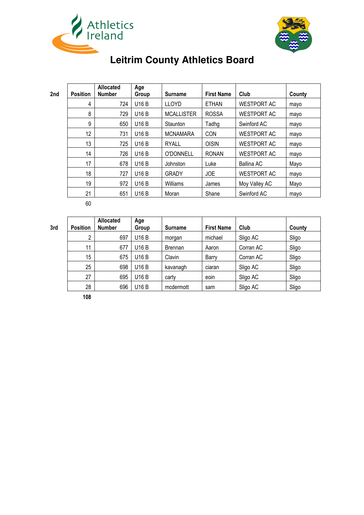



| 2nd | <b>Position</b> | Allocated<br><b>Number</b> | Age<br>Group | <b>Surname</b>    | <b>First Name</b> | Club               | County |
|-----|-----------------|----------------------------|--------------|-------------------|-------------------|--------------------|--------|
|     | 4               | 724                        | <b>U16 B</b> | <b>LLOYD</b>      | <b>ETHAN</b>      | <b>WESTPORT AC</b> | mayo   |
|     | 8               | 729                        | <b>U16 B</b> | <b>MCALLISTER</b> | <b>ROSSA</b>      | <b>WESTPORT AC</b> | mayo   |
|     | 9               | 650                        | <b>U16 B</b> | Staunton          | Tadhg             | Swinford AC        | mayo   |
|     | 12              | 731                        | <b>U16 B</b> | <b>MCNAMARA</b>   | <b>CON</b>        | <b>WESTPORT AC</b> | mayo   |
|     | 13              | 725                        | <b>U16 B</b> | <b>RYALL</b>      | <b>OISIN</b>      | <b>WESTPORT AC</b> | mayo   |
|     | 14              | 726                        | <b>U16 B</b> | <b>O'DONNELL</b>  | <b>RONAN</b>      | <b>WESTPORT AC</b> | mayo   |
|     | 17              | 678                        | <b>U16 B</b> | Johnston          | Luke              | Ballina AC         | Mayo   |
|     | 18              | 727                        | <b>U16 B</b> | <b>GRADY</b>      | <b>JOE</b>        | <b>WESTPORT AC</b> | mayo   |
|     | 19              | 972                        | <b>U16 B</b> | Williams          | James             | Moy Valley AC      | Mayo   |
|     | 21              | 651                        | <b>U16 B</b> | Moran             | Shane             | Swinford AC        | mayo   |
|     | 60              |                            |              |                   |                   |                    |        |

| ٦<br>×<br>I<br>×<br>۰. | v<br>. . |
|------------------------|----------|

| <b>Position</b> | <b>Allocated</b><br><b>Number</b> | Age<br>Group | <b>Surname</b> | <b>First Name</b> | Club      | County |
|-----------------|-----------------------------------|--------------|----------------|-------------------|-----------|--------|
| $\overline{2}$  | 697                               | <b>U16 B</b> | morgan         | michael           | Sligo AC  | Sligo  |
| 11              | 677                               | U16 B        | Brennan        | Aaron             | Corran AC | Sligo  |
| 15              | 675                               | <b>U16 B</b> | Clavin         | Barry             | Corran AC | Sligo  |
| 25              | 698                               | U16 B        | kavanagh       | ciaran            | Sligo AC  | Sligo  |
| 27              | 695                               | U16 B        | carty          | eoin              | Sligo AC  | Sligo  |
| 28              | 696                               | U16 B        | mcdermott      | sam               | Sligo AC  | Sligo  |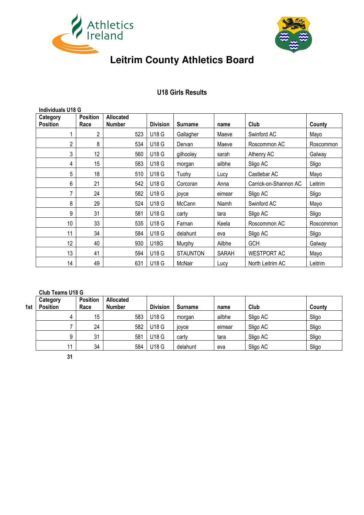



#### **U18 Girls Results**

| <b>Individuals U18 G</b>    |                         |                                   |                 |                 |              |                       |           |
|-----------------------------|-------------------------|-----------------------------------|-----------------|-----------------|--------------|-----------------------|-----------|
| Category<br><b>Position</b> | <b>Position</b><br>Race | <b>Allocated</b><br><b>Number</b> | <b>Division</b> | <b>Surname</b>  | name         | Club                  | County    |
| 1                           | $\overline{2}$          | 523                               | U18 G           | Gallagher       | Maeve        | Swinford AC           | Mayo      |
| $\overline{2}$              | 8                       | 534                               | U18 G           | Dervan          | Maeve        | Roscommon AC          | Roscommon |
| 3                           | 12                      | 560                               | <b>U18 G</b>    | gilhooley       | sarah        | Athenry AC            | Galway    |
| 4                           | 15                      | 583                               | <b>U18 G</b>    | morgan          | ailbhe       | Sligo AC              | Sligo     |
| 5                           | 18                      | 510                               | <b>U18 G</b>    | Tuohy           | Lucy         | Castlebar AC          | Mayo      |
| 6                           | 21                      | 542                               | U18 G           | Corcoran        | Anna         | Carrick-on-Shannon AC | Leitrim   |
| 7                           | 24                      | 582                               | <b>U18 G</b>    | joyce           | eimear       | Sligo AC              | Sligo     |
| 8                           | 29                      | 524                               | <b>U18 G</b>    | McCann          | Niamh        | Swinford AC           | Mayo      |
| 9                           | 31                      | 581                               | <b>U18 G</b>    | carty           | tara         | Sligo AC              | Sligo     |
| 10                          | 33                      | 535                               | <b>U18 G</b>    | Farnan          | Keela        | Roscommon AC          | Roscommon |
| 11                          | 34                      | 584                               | U18 G           | delahunt        | eva          | Sligo AC              | Sligo     |
| 12                          | 40                      | 930                               | <b>U18G</b>     | Murphy          | Ailbhe       | <b>GCH</b>            | Galway    |
| 13                          | 41                      | 594                               | <b>U18 G</b>    | <b>STAUNTON</b> | <b>SARAH</b> | <b>WESTPORT AC</b>    | Mayo      |
| 14                          | 49                      | 631                               | <b>U18 G</b>    | McNair          | Lucy         | North Leitrim AC      | Leitrim   |

#### **Club Teams U18 G**

| 1st | Category<br><b>Position</b> | <b>Position</b><br>Race | <b>Allocated</b><br><b>Number</b> | <b>Division</b> | <b>Surname</b> | name   | Club     | County |
|-----|-----------------------------|-------------------------|-----------------------------------|-----------------|----------------|--------|----------|--------|
|     |                             | 15                      | 583                               | U18 G           | morgan         | ailbhe | Sligo AC | Sligo  |
|     |                             | 24                      | 582                               | U18 G           | joyce          | eimear | Sligo AC | Sligo  |
|     |                             | 31                      | 581                               | U18 G           | carty          | tara   | Sligo AC | Sligo  |
|     | 11                          | 34                      | 584                               | U18 G           | delahunt       | eva    | Sligo AC | Sligo  |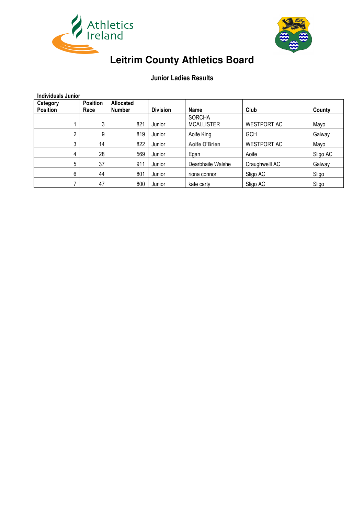



#### **Junior Ladies Results**

| Category<br><b>Position</b> | <b>Position</b><br>Race | <b>Allocated</b><br><b>Number</b> | <b>Division</b> | <b>Name</b>                        | Club               | County   |
|-----------------------------|-------------------------|-----------------------------------|-----------------|------------------------------------|--------------------|----------|
|                             | 3                       | 821                               | Junior          | <b>SORCHA</b><br><b>MCALLISTER</b> | <b>WESTPORT AC</b> | Mayo     |
| 2                           | 9                       | 819                               | Junior          | Aoife King                         | <b>GCH</b>         | Galway   |
| 3                           | 14                      | 822                               | Junior          | Aoife O'Brien                      | WESTPORT AC        | Mayo     |
| 4                           | 28                      | 569                               | Junior          | Egan                               | Aoife              | Sligo AC |
| 5                           | 37                      | 911                               | Junior          | Dearbhaile Walshe                  | Craughwelll AC     | Galway   |
| 6                           | 44                      | 801                               | Junior          | riona connor                       | Sligo AC           | Sligo    |
|                             | 47                      | 800                               | Junior          | kate carty                         | Sligo AC           | Sligo    |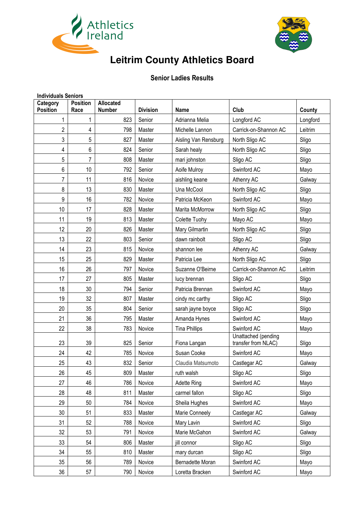



#### **Senior Ladies Results**

| <b>Individuals Seniors</b>  |                         |                                   |                 |                      |                                            |          |
|-----------------------------|-------------------------|-----------------------------------|-----------------|----------------------|--------------------------------------------|----------|
| Category<br><b>Position</b> | <b>Position</b><br>Race | <b>Allocated</b><br><b>Number</b> | <b>Division</b> | <b>Name</b>          | Club                                       | County   |
| 1                           | 1                       | 823                               | Senior          | Adrianna Melia       | Longford AC                                | Longford |
| $\overline{2}$              | $\overline{4}$          | 798                               | Master          | Michelle Lannon      | Carrick-on-Shannon AC                      | Leitrim  |
| 3                           | 5                       | 827                               | Master          | Aisling Van Rensburg | North Sligo AC                             | Sligo    |
| 4                           | 6                       | 824                               | Senior          | Sarah healy          | North Sligo AC                             | Sligo    |
| 5                           | $\overline{7}$          | 808                               | Master          | mari johnston        | Sligo AC                                   | Sligo    |
| 6                           | 10                      | 792                               | Senior          | Aoife Mulroy         | Swinford AC                                | Mayo     |
| 7                           | 11                      | 816                               | Novice          | aishling keane       | Athenry AC                                 | Galway   |
| 8                           | 13                      | 830                               | Master          | Una McCool           | North Sligo AC                             | Sligo    |
| 9                           | 16                      | 782                               | Novice          | Patricia McKeon      | Swinford AC                                | Mayo     |
| 10                          | 17                      | 828                               | Master          | Marita McMorrow      | North Sligo AC                             | Sligo    |
| 11                          | 19                      | 813                               | Master          | Colette Tuohy        | Mayo AC                                    | Mayo     |
| 12                          | 20                      | 826                               | Master          | Mary Gilmartin       | North Sligo AC                             | Sligo    |
| 13                          | 22                      | 803                               | Senior          | dawn rainbolt        | Sligo AC                                   | Sligo    |
| 14                          | 23                      | 815                               | Novice          | shannon lee          | Athenry AC                                 | Galway   |
| 15                          | 25                      | 829                               | Master          | Patricia Lee         | North Sligo AC                             | Sligo    |
| 16                          | 26                      | 797                               | Novice          | Suzanne O'Beirne     | Carrick-on-Shannon AC                      | Leitrim  |
| 17                          | 27                      | 805                               | Master          | lucy brennan         | Sligo AC                                   | Sligo    |
| 18                          | 30                      | 794                               | Senior          | Patricia Brennan     | Swinford AC                                | Mayo     |
| 19                          | 32                      | 807                               | Master          | cindy mc carthy      | Sligo AC                                   | Sligo    |
| 20                          | 35                      | 804                               | Senior          | sarah jayne boyce    | Sligo AC                                   | Sligo    |
| 21                          | 36                      | 795                               | Master          | Amanda Hynes         | Swinford AC                                | Mayo     |
| 22                          | 38                      | 783                               | Novice          | <b>Tina Phillips</b> | Swinford AC                                | Mayo     |
| 23                          | 39                      | 825                               | Senior          | Fiona Langan         | Unattached (pending<br>transfer from NLAC) | Sligo    |
| 24                          | 42                      | 785                               | Novice          | Susan Cooke          | Swinford AC                                | Mayo     |
| 25                          | 43                      | 832                               | Senior          | Claudia Matsumoto    | Castlegar AC                               | Galway   |
| 26                          | 45                      | 809                               | Master          | ruth walsh           | Sligo AC                                   | Sligo    |
| 27                          | 46                      | 786                               | Novice          | Adette Ring          | Swinford AC                                | Mayo     |
| 28                          | 48                      | 811                               | Master          | carmel fallon        | Sligo AC                                   | Sligo    |
| 29                          | 50                      | 784                               | Novice          | Sheila Hughes        | Swinford AC                                | Mayo     |
| $30\,$                      | 51                      | 833                               | Master          | Marie Conneely       | Castlegar AC                               | Galway   |
| 31                          | 52                      | 788                               | Novice          | Mary Lavin           | Swinford AC                                | Sligo    |
| 32                          | 53                      | 791                               | Novice          | Marie McGahon        | Swinford AC                                | Galway   |
| 33                          | 54                      | 806                               | Master          | jill connor          | Sligo AC                                   | Sligo    |
| 34                          | 55                      | 810                               | Master          | mary durcan          | Sligo AC                                   | Sligo    |
| 35                          | 56                      | 789                               | Novice          | Bernadette Moran     | Swinford AC                                | Mayo     |
| 36                          | 57                      | 790                               | Novice          | Loretta Bracken      | Swinford AC                                | Mayo     |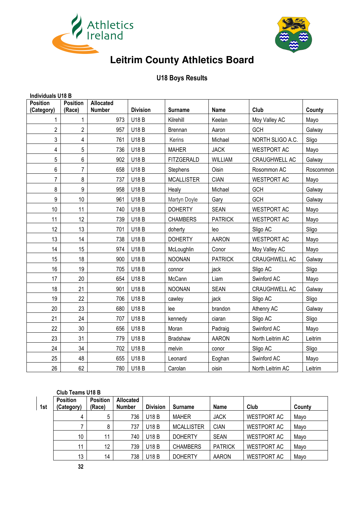



#### **U18 Boys Results**

| <b>Individuals U18 B</b> |                 |                  |                 |                   |                |                    |           |
|--------------------------|-----------------|------------------|-----------------|-------------------|----------------|--------------------|-----------|
| <b>Position</b>          | <b>Position</b> | <b>Allocated</b> |                 |                   |                |                    |           |
| (Category)               | (Race)          | <b>Number</b>    | <b>Division</b> | <b>Surname</b>    | Name           | Club               | County    |
| 1                        | 1               | 973              | <b>U18B</b>     | Kilrehill         | Keelan         | Moy Valley AC      | Mayo      |
| $\overline{2}$           | $\overline{2}$  | 957              | <b>U18B</b>     | Brennan           | Aaron          | GCH                | Galway    |
| 3                        | 4               | 761              | <b>U18B</b>     | Kerins            | Michael        | NORTH SLIGO A.C.   | Sligo     |
| 4                        | 5               | 736              | <b>U18B</b>     | <b>MAHER</b>      | <b>JACK</b>    | <b>WESTPORT AC</b> | Mayo      |
| 5                        | 6               | 902              | <b>U18B</b>     | <b>FITZGERALD</b> | <b>WILLIAM</b> | CRAUGHWELL AC      | Galway    |
| 6                        | $\overline{7}$  | 658              | <b>U18B</b>     | Stephens          | Oisin          | Rosommon AC        | Roscommon |
| $\overline{7}$           | 8               | 737              | <b>U18B</b>     | <b>MCALLISTER</b> | <b>CIAN</b>    | <b>WESTPORT AC</b> | Mayo      |
| 8                        | 9               | 958              | <b>U18B</b>     | Healy             | Michael        | GCH                | Galway    |
| 9                        | 10              | 961              | <b>U18B</b>     | Martyn Doyle      | Gary           | GCH                | Galway    |
| 10                       | 11              | 740              | <b>U18B</b>     | <b>DOHERTY</b>    | <b>SEAN</b>    | <b>WESTPORT AC</b> | Mayo      |
| 11                       | 12              | 739              | <b>U18B</b>     | <b>CHAMBERS</b>   | <b>PATRICK</b> | <b>WESTPORT AC</b> | Mayo      |
| 12                       | 13              | 701              | <b>U18B</b>     | doherty           | leo            | Sligo AC           | Sligo     |
| 13                       | 14              | 738              | <b>U18B</b>     | <b>DOHERTY</b>    | <b>AARON</b>   | <b>WESTPORT AC</b> | Mayo      |
| 14                       | 15              | 974              | <b>U18B</b>     | McLoughlin        | Conor          | Moy Valley AC      | Mayo      |
| 15                       | 18              | 900              | <b>U18B</b>     | <b>NOONAN</b>     | <b>PATRICK</b> | CRAUGHWELL AC      | Galway    |
| 16                       | 19              | 705              | <b>U18B</b>     | connor            | jack           | Sligo AC           | Sligo     |
| 17                       | 20              | 654              | <b>U18B</b>     | McCann            | Liam           | Swinford AC        | Mayo      |
| 18                       | 21              | 901              | <b>U18B</b>     | <b>NOONAN</b>     | <b>SEAN</b>    | CRAUGHWELL AC      | Galway    |
| 19                       | 22              | 706              | <b>U18B</b>     | cawley            | jack           | Sligo AC           | Sligo     |
| 20                       | 23              | 680              | <b>U18B</b>     | lee               | brandon        | Athenry AC         | Galway    |
| 21                       | 24              | 707              | <b>U18B</b>     | kennedy           | ciaran         | Sligo AC           | Sligo     |
| 22                       | 30              | 656              | <b>U18B</b>     | Moran             | Padraig        | Swinford AC        | Mayo      |
| 23                       | 31              | 779              | <b>U18 B</b>    | Bradshaw          | <b>AARON</b>   | North Leitrim AC   | Leitrim   |
| 24                       | 34              | 702              | <b>U18B</b>     | melvin            | conor          | Sligo AC           | Sligo     |
| 25                       | 48              | 655              | <b>U18B</b>     | Leonard           | Eoghan         | Swinford AC        | Mayo      |
| 26                       | 62              | 780              | <b>U18B</b>     | Carolan           | oisin          | North Leitrim AC   | Leitrim   |

#### **Club Teams U18 B**

| 1st | <b>Position</b><br>(Category) | <b>Position</b><br>(Race) | Allocated<br><b>Number</b> | <b>Division</b> | Surname           | <b>Name</b>    | Club               | County |
|-----|-------------------------------|---------------------------|----------------------------|-----------------|-------------------|----------------|--------------------|--------|
|     | 4                             | 5                         | 736                        | U18 B           | <b>MAHER</b>      | <b>JACK</b>    | <b>WESTPORT AC</b> | Mayo   |
|     |                               | 8                         | 737                        | U18 B           | <b>MCALLISTER</b> | <b>CIAN</b>    | <b>WESTPORT AC</b> | Mayo   |
|     | 10                            | 11                        | 740                        | U18 B           | <b>DOHERTY</b>    | <b>SEAN</b>    | <b>WESTPORT AC</b> | Mayo   |
|     | 11                            | 12                        | 739                        | U18 B           | <b>CHAMBERS</b>   | <b>PATRICK</b> | <b>WESTPORT AC</b> | Mayo   |
|     | 13                            | 14                        | 738                        | U18 B           | <b>DOHERTY</b>    | AARON          | <b>WESTPORT AC</b> | Mayo   |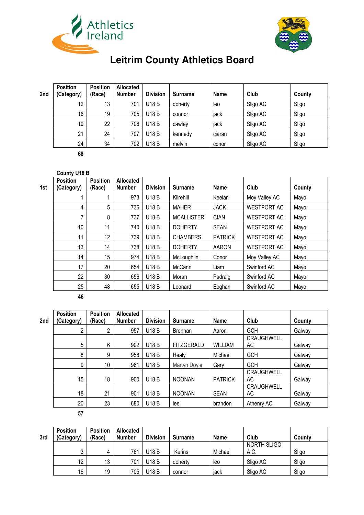



**2nd**

| <b>Position</b><br>(Category) | <b>Position</b><br>(Race) | Allocated<br><b>Number</b> | <b>Division</b> | Surname | <b>Name</b> | Club     | County |
|-------------------------------|---------------------------|----------------------------|-----------------|---------|-------------|----------|--------|
| 12                            | 13                        | 701                        | U18 B           | doherty | leo         | Sligo AC | Sligo  |
| 16                            | 19                        | 705                        | U18 B           | connor  | jack        | Sligo AC | Sligo  |
| 19                            | 22                        | 706                        | U18 B           | cawley  | jack        | Sligo AC | Sligo  |
| 21                            | 24                        | 707                        | U18 B           | kennedy | ciaran      | Sligo AC | Sligo  |
| 24                            | 34                        | 702                        | U18 B           | melvin  | conor       | Sligo AC | Sligo  |
| 68                            |                           |                            |                 |         |             |          |        |

#### **County U18 B**

| 1st | <b>Position</b><br>(Category) | <b>Position</b><br>(Race) | Allocated<br><b>Number</b> | <b>Division</b> | <b>Surname</b>    | <b>Name</b>    | Club               | County |
|-----|-------------------------------|---------------------------|----------------------------|-----------------|-------------------|----------------|--------------------|--------|
|     |                               |                           | 973                        | <b>U18 B</b>    | Kilrehill         | Keelan         | Moy Valley AC      | Mayo   |
|     | 4                             | 5                         | 736                        | <b>U18 B</b>    | <b>MAHER</b>      | <b>JACK</b>    | <b>WESTPORT AC</b> | Mayo   |
|     |                               | 8                         | 737                        | <b>U18 B</b>    | <b>MCALLISTER</b> | <b>CIAN</b>    | <b>WESTPORT AC</b> | Mayo   |
|     | 10                            | 11                        | 740                        | <b>U18 B</b>    | <b>DOHERTY</b>    | <b>SEAN</b>    | <b>WESTPORT AC</b> | Mayo   |
|     | 11                            | 12                        | 739                        | <b>U18 B</b>    | <b>CHAMBERS</b>   | <b>PATRICK</b> | <b>WESTPORT AC</b> | Mayo   |
|     | 13                            | 14                        | 738                        | <b>U18 B</b>    | <b>DOHERTY</b>    | AARON          | <b>WESTPORT AC</b> | Mayo   |
|     | 14                            | 15                        | 974                        | <b>U18 B</b>    | McLoughlin        | Conor          | Moy Valley AC      | Mayo   |
|     | 17                            | 20                        | 654                        | <b>U18 B</b>    | McCann            | Liam           | Swinford AC        | Mayo   |
|     | 22                            | 30                        | 656                        | <b>U18 B</b>    | Moran             | Padraig        | Swinford AC        | Mayo   |
|     | 25                            | 48                        | 655                        | <b>U18 B</b>    | Leonard           | Eoghan         | Swinford AC        | Mayo   |
|     | 46                            |                           |                            |                 |                   |                |                    |        |

| 2nd | <b>Position</b><br>(Category) | <b>Position</b><br>(Race) | <b>Allocated</b><br><b>Number</b> | <b>Division</b> | <b>Surname</b>    | Name           | Club              | County |
|-----|-------------------------------|---------------------------|-----------------------------------|-----------------|-------------------|----------------|-------------------|--------|
|     |                               |                           |                                   |                 |                   |                |                   |        |
|     | 2                             | 2                         | 957                               | <b>U18 B</b>    | <b>Brennan</b>    | Aaron          | <b>GCH</b>        | Galway |
|     |                               |                           |                                   |                 |                   |                | <b>CRAUGHWELL</b> |        |
|     | 5                             | 6                         | 902                               | <b>U18 B</b>    | <b>FITZGERALD</b> | WILLIAM        | АC                | Galway |
|     | 8                             | 9                         | 958                               | <b>U18 B</b>    | Healy             | Michael        | <b>GCH</b>        | Galway |
|     | 9                             | 10                        | 961                               | <b>U18 B</b>    | Martyn Doyle      | Gary           | GCH               | Galway |
|     |                               |                           |                                   |                 |                   |                | CRAUGHWELL        |        |
|     | 15                            | 18                        | 900                               | U18 B           | <b>NOONAN</b>     | <b>PATRICK</b> | АC                | Galway |
|     |                               |                           |                                   |                 |                   |                | CRAUGHWELL        |        |
|     | 18                            | 21                        | 901                               | <b>U18 B</b>    | <b>NOONAN</b>     | <b>SEAN</b>    | АC                | Galway |
|     | 20                            | 23                        | 680                               | <b>U18 B</b>    | lee               | brandon        | Athenry AC        | Galway |

| 3rd | <b>Position</b><br>(Category) | <b>Position</b><br>(Race) | <b>Allocated</b><br><b>Number</b> | <b>Division</b> | <b>Surname</b> | <b>Name</b> | Club                | County |
|-----|-------------------------------|---------------------------|-----------------------------------|-----------------|----------------|-------------|---------------------|--------|
|     |                               | 4                         | 761                               | U18 B           | Kerins         | Michael     | NORTH SLIGO<br>A.C. | Sligo  |
|     | 12                            | 13                        | 701                               | U18 B           | doherty        | leo         | Sligo AC            | Sligo  |
|     | 16                            | 19                        | 705                               | U18 B           | connor         | jack        | Sligo AC            | Sligo  |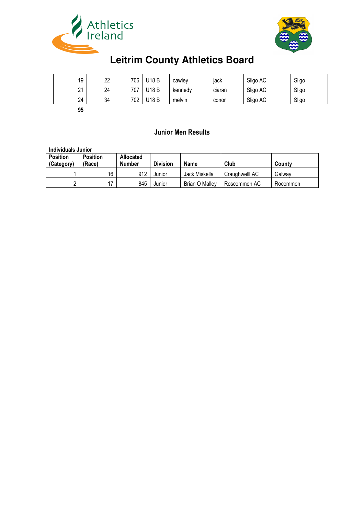



| 19 | າາ<br>ᅩ | 706 | U18 B | cawley  | iack   | Sligo AC | Sligo |
|----|---------|-----|-------|---------|--------|----------|-------|
| 21 | 24      | 707 | J18 B | kennedv | ciaran | Sligo AC | Sligo |
| 24 | 34      | 702 | J18 B | melvin  | conor  | Sligo AC | Sligo |

**95**

#### **Junior Men Results**

**Individuals Junior**

| <b>Position</b><br>(Category) | <b>Position</b><br>(Race) | <b>Allocated</b><br><b>Number</b> | <b>Division</b> | Name           | Club           | County   |
|-------------------------------|---------------------------|-----------------------------------|-----------------|----------------|----------------|----------|
|                               | 16                        | 912                               | Junior          | Jack Miskella  | Craughwelll AC | Galway   |
|                               | 17                        | 845                               | Junior          | Brian O Malley | Roscommon AC   | Rocommon |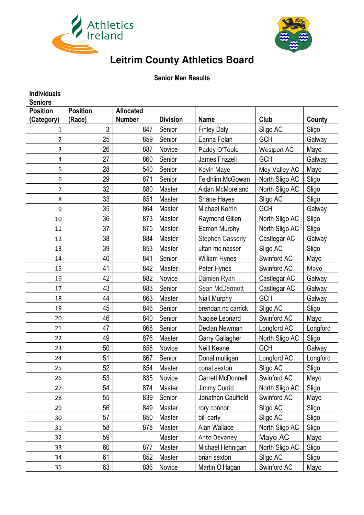



#### **Senior Men Results**

| <b>Individuals</b><br><b>Seniors</b> |                           |                                   |                 |                          |                    |          |
|--------------------------------------|---------------------------|-----------------------------------|-----------------|--------------------------|--------------------|----------|
| <b>Position</b><br>(Category)        | <b>Position</b><br>(Race) | <b>Allocated</b><br><b>Number</b> | <b>Division</b> | <b>Name</b>              | Club               | County   |
| $\mathbf{1}$                         | 3                         | 847                               | Senior          | <b>Finley Daly</b>       | Sligo AC           | Sligo    |
| $\overline{2}$                       | 25                        | 859                               | Senior          | Eanna Folan              | <b>GCH</b>         | Galway   |
| 3                                    | 26                        | 887                               | Novice          | Paddy O'Toole            | <b>Westport AC</b> | Mayo     |
| $\overline{4}$                       | 27                        | 860                               | Senior          | James Frizzell           | <b>GCH</b>         | Galway   |
| 5                                    | 28                        | 540                               | Senior          | Kevin Maye               | Moy Valley AC      | Mayo     |
| 6                                    | 29                        | 871                               | Senior          | Feidhlim McGowan         | North Sligo AC     | Sligo    |
| $\overline{7}$                       | 32                        | 880                               | Master          | Aidan McMoreland         | North Sligo AC     | Sligo    |
| 8                                    | 33                        | 851                               | Master          | Shane Hayes              | Sligo AC           | Sligo    |
| 9                                    | 35                        | 864                               | Master          | <b>Michael Kerrin</b>    | <b>GCH</b>         | Galway   |
| 10                                   | 36                        | 873                               | Master          | Raymond Gillen           | North Sligo AC     | Sligo    |
| 11                                   | 37                        | 875                               | Master          | Eamon Murphy             | North Sligo AC     | Sligo    |
| 12                                   | 38                        | 884                               | Master          | <b>Stephen Casserly</b>  | Castlegar AC       | Galway   |
| 13                                   | 39                        | 853                               | Master          | ultan mc nasser          | Sligo AC           | Sligo    |
| 14                                   | 40                        | 841                               | Senior          | <b>William Hynes</b>     | Swinford AC        | Mayo     |
| 15                                   | 41                        | 842                               | Master          | Peter Hynes              | Swinford AC        | Mayo     |
| 16                                   | 42                        | 882                               | Novice          | Damien Ryan              | Castlegar AC       | Galway   |
| 17                                   | 43                        | 883                               | Senior          | Sean McDermott           | Castlegar AC       | Galway   |
| 18                                   | 44                        | 863                               | Master          | Niall Murphy             | <b>GCH</b>         | Galway   |
| 19                                   | 45                        | 846                               | Senior          | brendan nc carrick       | Sligo AC           | Sligo    |
| 20                                   | 46                        | 840                               | Senior          | Naoise Leonard           | Swinford AC        | Mayo     |
| 21                                   | 47                        | 868                               | Senior          | Declan Newman            | Longford AC        | Longford |
| 22                                   | 49                        | 876                               | Master          | Garry Gallagher          | North Sligo AC     | Sligo    |
| 23                                   | 50                        | 858                               | Novice          | Neill Keane              | GCH                | Galway   |
| 24                                   | 51                        | 867                               | Senior          | Donal mulligan           | Longford AC        | Longford |
| 25                                   | 52                        | 854                               | Master          | conal sexton             | Sligo AC           | Sligo    |
| 26                                   | 53                        | 835                               | Novice          | <b>Garrett McDonnell</b> | Swinford AC        | Mayo     |
| 27                                   | 54                        | 874                               | Master          | Jimmy Currid             | North Sligo AC     | Sligo    |
| 28                                   | 55                        | 839                               | Senior          | Jonathan Caulfield       | Swinford AC        | Mayo     |
| 29                                   | 56                        | 849                               | Master          | rory connor              | Sligo AC           | Sligo    |
| 30                                   | 57                        | 850                               | Master          | bill carty               | Sligo AC           | Sligo    |
| 31                                   | 58                        | 878                               | Master          | Alan Wallace             | North Sligo AC     | Sligo    |
| 32                                   | 59                        |                                   | Master          | Anto Devaney             | Mayo AC            | Mayo     |
| 33                                   | 60                        | 877                               | Master          | Michael Hennigan         | North Sligo AC     | Sligo    |
| 34                                   | 61                        | 852                               | Master          | brian sexton             | Sligo AC           | Sligo    |
| 35                                   | 63                        | 836                               | Novice          | Martin O'Hagan           | Swinford AC        | Mayo     |